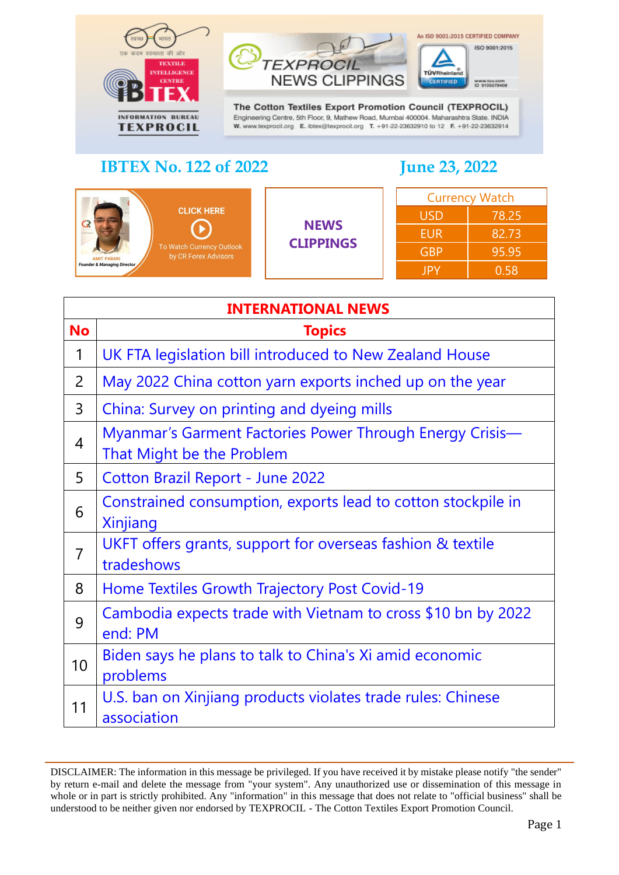



The Cotton Textiles Export Promotion Council (TEXPROCIL) Engineering Centre, 5th Floor, 9, Mathew Road, Mumbai 400004. Maharashtra State. INDIA W. www.texprocil.org E. ibtex@texprocil.org T. +91-22-23632910 to 12 F. +91-22-23632914

#### **IBTEX No. 122 of 2022 June 23, 2022**

An ISO 9001:2015 CERTIFIED COMPANY

|                                                                                                                                         | <b>Currency Watch</b><br><b>USD</b><br><b>NEWS</b><br><b>EUR</b><br><b>CLIPPINGS</b><br><b>GBP</b><br><b>JPY</b> |       |       |
|-----------------------------------------------------------------------------------------------------------------------------------------|------------------------------------------------------------------------------------------------------------------|-------|-------|
| <b>CLICK HERE</b>                                                                                                                       |                                                                                                                  |       | 78.25 |
| <b>CREI RELEVE</b><br>To Watch Currency Outlook<br>by CR Forex Advisors<br><b>AMIT PABARI</b><br><b>Founder &amp; Managing Director</b> |                                                                                                                  |       | 82.73 |
|                                                                                                                                         |                                                                                                                  | 95.95 |       |
|                                                                                                                                         |                                                                                                                  |       | 0.58  |

<span id="page-0-0"></span>

|                | <b>INTERNATIONAL NEWS</b>                                                             |  |  |
|----------------|---------------------------------------------------------------------------------------|--|--|
| <b>No</b>      | <b>Topics</b>                                                                         |  |  |
| 1              | UK FTA legislation bill introduced to New Zealand House                               |  |  |
| 2              | May 2022 China cotton yarn exports inched up on the year                              |  |  |
| 3              | China: Survey on printing and dyeing mills                                            |  |  |
| 4              | Myanmar's Garment Factories Power Through Energy Crisis-<br>That Might be the Problem |  |  |
| 5              | <b>Cotton Brazil Report - June 2022</b>                                               |  |  |
| 6              | Constrained consumption, exports lead to cotton stockpile in<br>Xinjiang              |  |  |
| $\overline{7}$ | UKFT offers grants, support for overseas fashion & textile<br>tradeshows              |  |  |
| 8              | Home Textiles Growth Trajectory Post Covid-19                                         |  |  |
| 9              | Cambodia expects trade with Vietnam to cross \$10 bn by 2022<br>end: PM               |  |  |
| 10             | Biden says he plans to talk to China's Xi amid economic<br>problems                   |  |  |
| 11             | U.S. ban on Xinjiang products violates trade rules: Chinese<br>association            |  |  |

DISCLAIMER: The information in this message be privileged. If you have received it by mistake please notify "the sender" by return e-mail and delete the message from "your system". Any unauthorized use or dissemination of this message in whole or in part is strictly prohibited. Any "information" in this message that does not relate to "official business" shall be understood to be neither given nor endorsed by TEXPROCIL - The Cotton Textiles Export Promotion Council.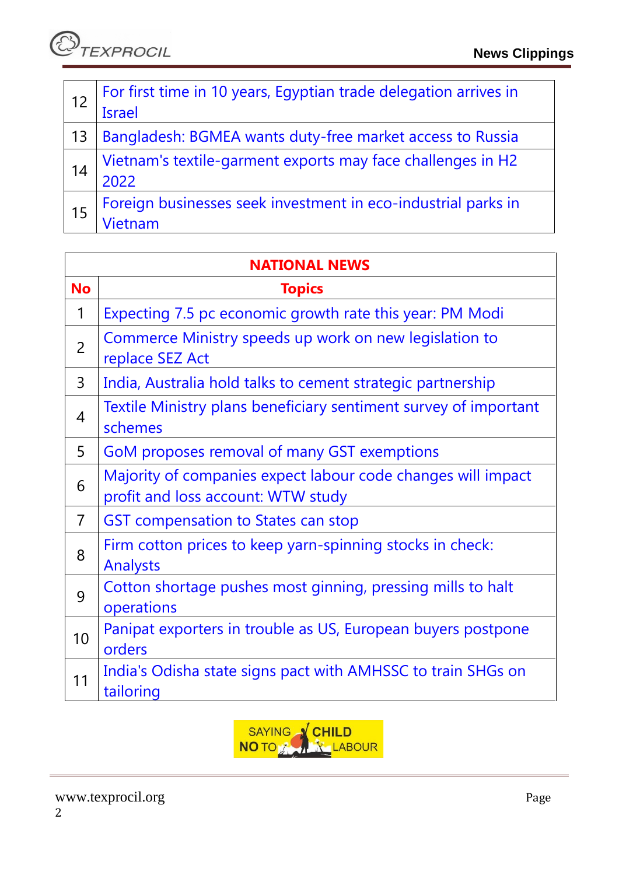| 12 | For first time in 10 years, Egyptian trade delegation arrives in<br><b>Israel</b> |
|----|-----------------------------------------------------------------------------------|
| 13 | Bangladesh: BGMEA wants duty-free market access to Russia                         |
| 14 | Vietnam's textile-garment exports may face challenges in H2<br>2022               |
| 15 | Foreign businesses seek investment in eco-industrial parks in                     |

| <b>NATIONAL NEWS</b> |                                                                                                    |  |
|----------------------|----------------------------------------------------------------------------------------------------|--|
| <b>No</b>            | <b>Topics</b>                                                                                      |  |
| 1                    | Expecting 7.5 pc economic growth rate this year: PM Modi                                           |  |
| $\overline{2}$       | Commerce Ministry speeds up work on new legislation to<br>replace SEZ Act                          |  |
| $\overline{3}$       | India, Australia hold talks to cement strategic partnership                                        |  |
| 4                    | Textile Ministry plans beneficiary sentiment survey of important<br>schemes                        |  |
| 5                    | GoM proposes removal of many GST exemptions                                                        |  |
| 6                    | Majority of companies expect labour code changes will impact<br>profit and loss account: WTW study |  |
| $\overline{7}$       | <b>GST</b> compensation to States can stop                                                         |  |
| 8                    | Firm cotton prices to keep yarn-spinning stocks in check:<br><b>Analysts</b>                       |  |
| 9                    | Cotton shortage pushes most ginning, pressing mills to halt<br>operations                          |  |
| 10                   | Panipat exporters in trouble as US, European buyers postpone<br>orders                             |  |
| 11                   | India's Odisha state signs pact with AMHSSC to train SHGs on<br>tailoring                          |  |

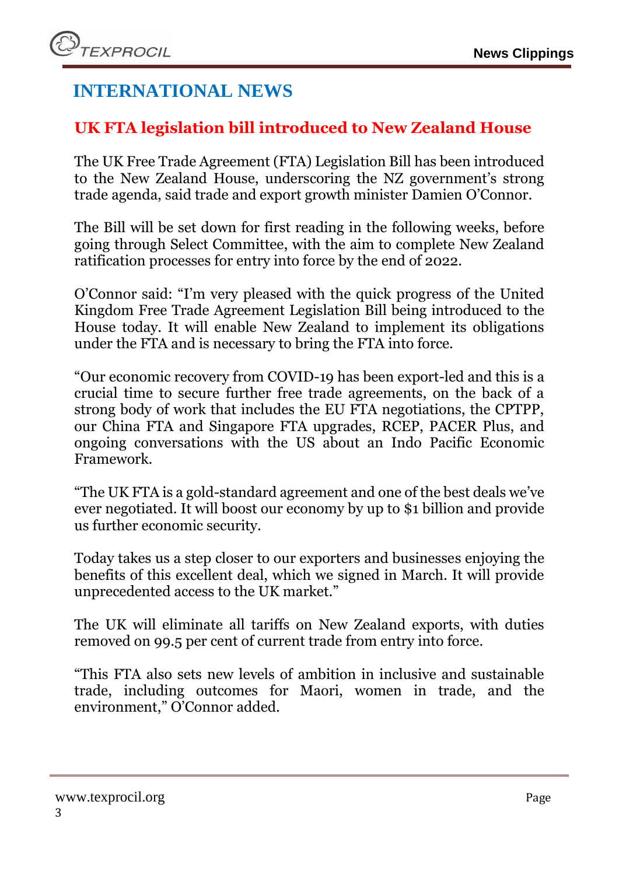# **INTERNATIONAL NEWS**

## <span id="page-2-0"></span>**UK FTA legislation bill introduced to New Zealand House**

The UK Free Trade Agreement (FTA) Legislation Bill has been introduced to the New Zealand House, underscoring the NZ government's strong trade agenda, said trade and export growth minister Damien O'Connor.

The Bill will be set down for first reading in the following weeks, before going through Select Committee, with the aim to complete New Zealand ratification processes for entry into force by the end of 2022.

O'Connor said: "I'm very pleased with the quick progress of the United Kingdom Free Trade Agreement Legislation Bill being introduced to the House today. It will enable New Zealand to implement its obligations under the FTA and is necessary to bring the FTA into force.

"Our economic recovery from COVID-19 has been export-led and this is a crucial time to secure further free trade agreements, on the back of a strong body of work that includes the EU FTA negotiations, the CPTPP, our China FTA and Singapore FTA upgrades, RCEP, PACER Plus, and ongoing conversations with the US about an Indo Pacific Economic Framework.

"The UK FTA is a gold-standard agreement and one of the best deals we've ever negotiated. It will boost our economy by up to \$1 billion and provide us further economic security.

Today takes us a step closer to our exporters and businesses enjoying the benefits of this excellent deal, which we signed in March. It will provide unprecedented access to the UK market."

The UK will eliminate all tariffs on New Zealand exports, with duties removed on 99.5 per cent of current trade from entry into force.

"This FTA also sets new levels of ambition in inclusive and sustainable trade, including outcomes for Maori, women in trade, and the environment," O'Connor added.

# www.texprocil.org Page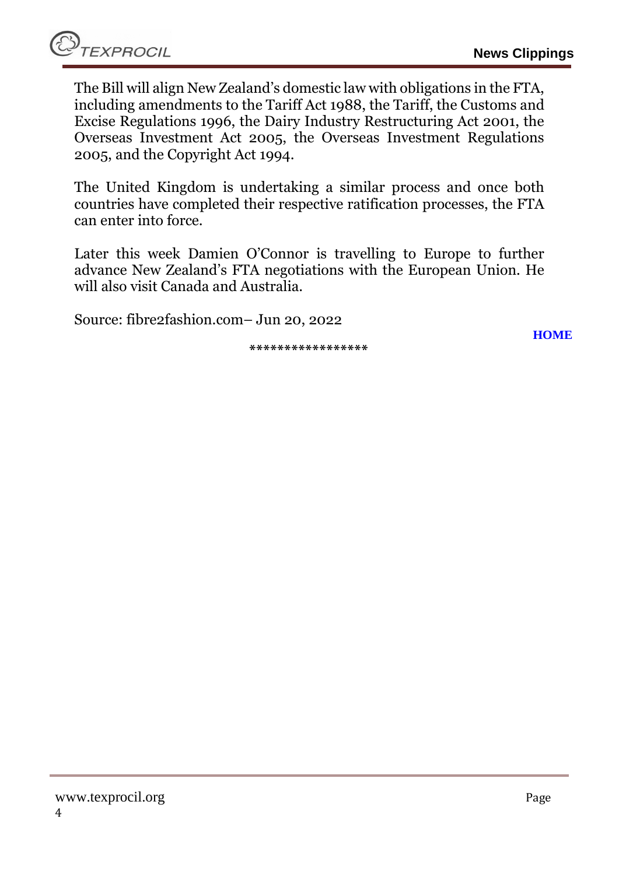The Bill will align New Zealand's domestic law with obligations in the FTA, including amendments to the Tariff Act 1988, the Tariff, the Customs and Excise Regulations 1996, the Dairy Industry Restructuring Act 2001, the Overseas Investment Act 2005, the Overseas Investment Regulations 2005, and the Copyright Act 1994.

The United Kingdom is undertaking a similar process and once both countries have completed their respective ratification processes, the FTA can enter into force.

Later this week Damien O'Connor is travelling to Europe to further advance New Zealand's FTA negotiations with the European Union. He will also visit Canada and Australia.

Source: fibre2fashion.com– Jun 20, 2022

**\*\*\*\*\*\*\*\*\*\*\*\*\*\*\*\*\***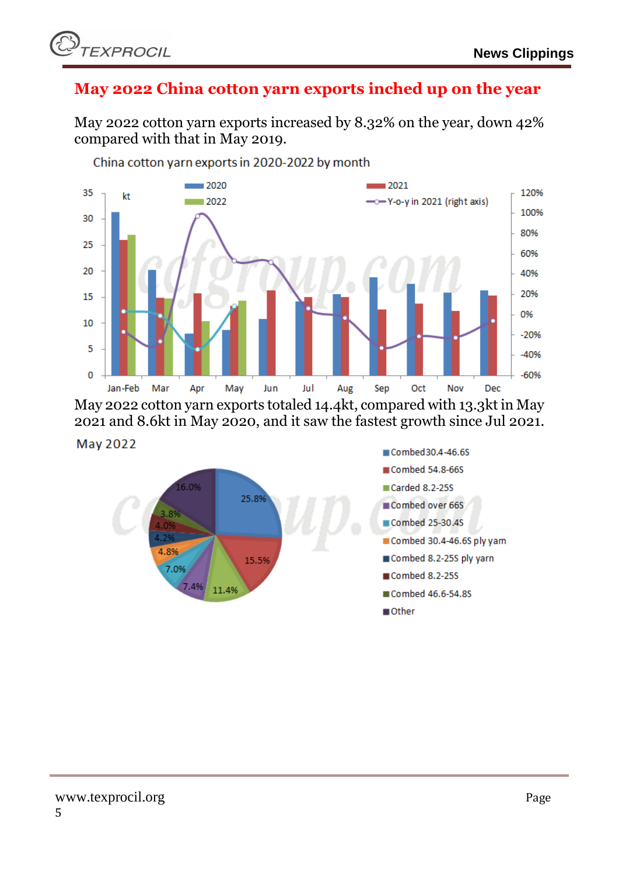

#### <span id="page-4-0"></span>**May 2022 China cotton yarn exports inched up on the year**

May 2022 cotton yarn exports increased by 8.32% on the year, down 42% compared with that in May 2019.



China cotton yarn exports in 2020-2022 by month

May 2022 cotton yarn exports totaled 14.4kt, compared with 13.3kt in May 2021 and 8.6kt in May 2020, and it saw the fastest growth since Jul 2021.

#### May 2022

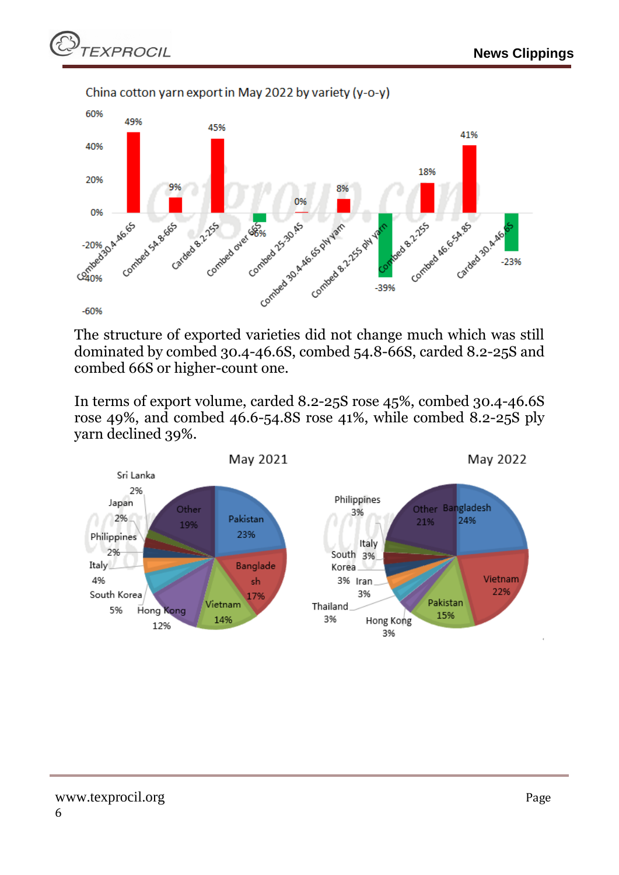

The structure of exported varieties did not change much which was still dominated by combed 30.4-46.6S, combed 54.8-66S, carded 8.2-25S and combed 66S or higher-count one.

In terms of export volume, carded 8.2-25S rose 45%, combed 30.4-46.6S rose 49%, and combed 46.6-54.8S rose 41%, while combed 8.2-25S ply yarn declined 39%.

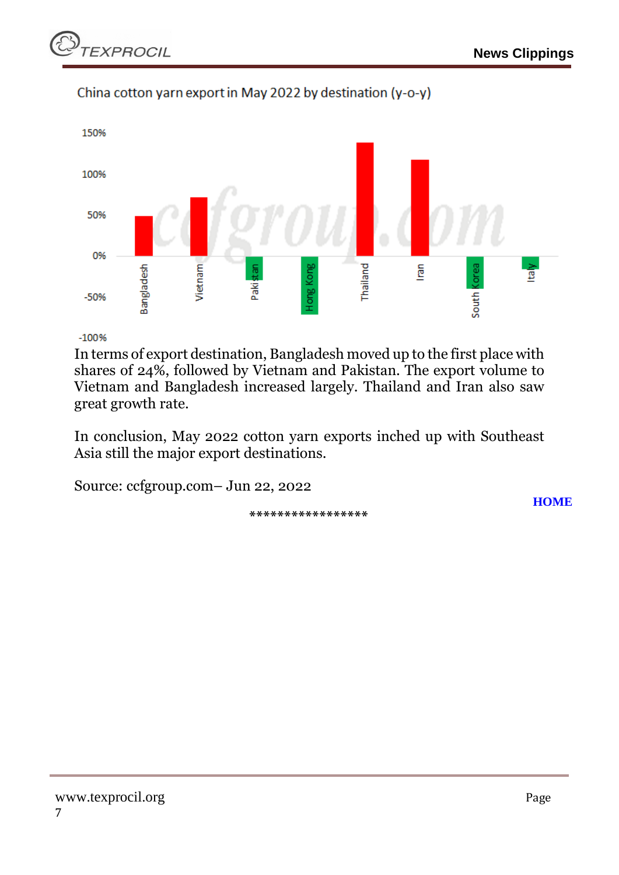

#### China cotton yarn export in May 2022 by destination (y-o-y)

 $-100%$ 

In terms of export destination, Bangladesh moved up to the first place with shares of 24%, followed by Vietnam and Pakistan. The export volume to Vietnam and Bangladesh increased largely. Thailand and Iran also saw great growth rate.

In conclusion, May 2022 cotton yarn exports inched up with Southeast Asia still the major export destinations.

Source: ccfgroup.com– Jun 22, 2022

**\*\*\*\*\*\*\*\*\*\*\*\*\*\*\*\*\***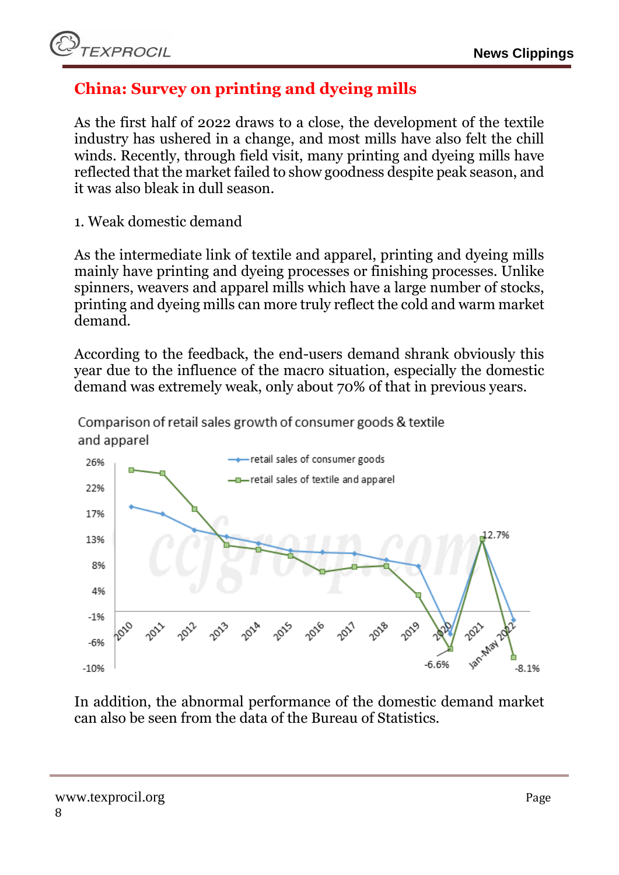## <span id="page-7-0"></span>**China: Survey on printing and dyeing mills**

As the first half of 2022 draws to a close, the development of the textile industry has ushered in a change, and most mills have also felt the chill winds. Recently, through field visit, many printing and dyeing mills have reflected that the market failed to show goodness despite peak season, and it was also bleak in dull season.

1. Weak domestic demand

As the intermediate link of textile and apparel, printing and dyeing mills mainly have printing and dyeing processes or finishing processes. Unlike spinners, weavers and apparel mills which have a large number of stocks, printing and dyeing mills can more truly reflect the cold and warm market demand.

According to the feedback, the end-users demand shrank obviously this year due to the influence of the macro situation, especially the domestic demand was extremely weak, only about 70% of that in previous years.

Comparison of retail sales growth of consumer goods & textile and apparel



In addition, the abnormal performance of the domestic demand market can also be seen from the data of the Bureau of Statistics.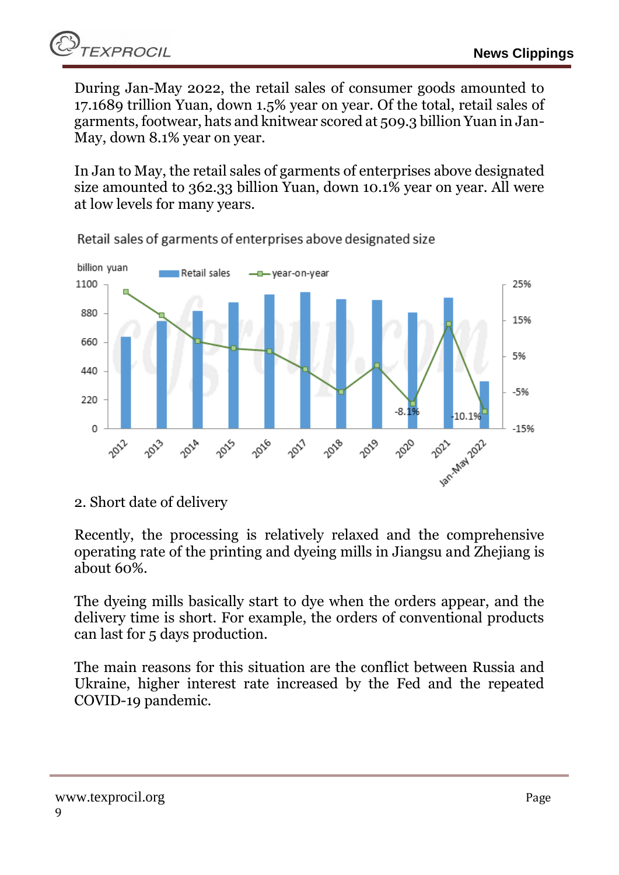During Jan-May 2022, the retail sales of consumer goods amounted to 17.1689 trillion Yuan, down 1.5% year on year. Of the total, retail sales of garments, footwear, hats and knitwear scored at 509.3 billion Yuan in Jan-May, down 8.1% year on year.

In Jan to May, the retail sales of garments of enterprises above designated size amounted to 362.33 billion Yuan, down 10.1% year on year. All were at low levels for many years.



Retail sales of garments of enterprises above designated size

2. Short date of delivery

Recently, the processing is relatively relaxed and the comprehensive operating rate of the printing and dyeing mills in Jiangsu and Zhejiang is about 60%.

The dyeing mills basically start to dye when the orders appear, and the delivery time is short. For example, the orders of conventional products can last for 5 days production.

The main reasons for this situation are the conflict between Russia and Ukraine, higher interest rate increased by the Fed and the repeated COVID-19 pandemic.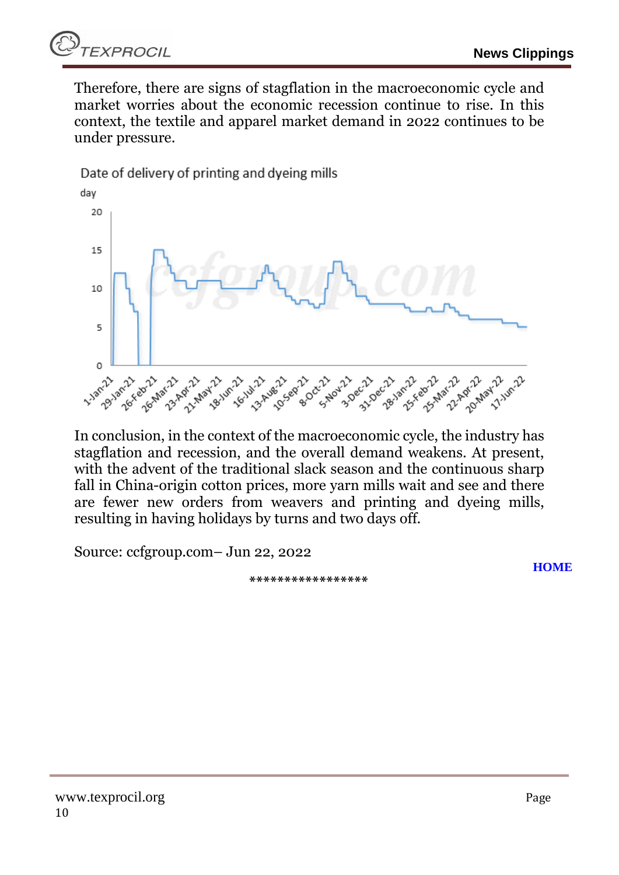

Therefore, there are signs of stagflation in the macroeconomic cycle and market worries about the economic recession continue to rise. In this context, the textile and apparel market demand in 2022 continues to be under pressure.



In conclusion, in the context of the macroeconomic cycle, the industry has stagflation and recession, and the overall demand weakens. At present, with the advent of the traditional slack season and the continuous sharp fall in China-origin cotton prices, more yarn mills wait and see and there are fewer new orders from weavers and printing and dyeing mills, resulting in having holidays by turns and two days off.

Source: ccfgroup.com– Jun 22, 2022

**\*\*\*\*\*\*\*\*\*\*\*\*\*\*\*\*\***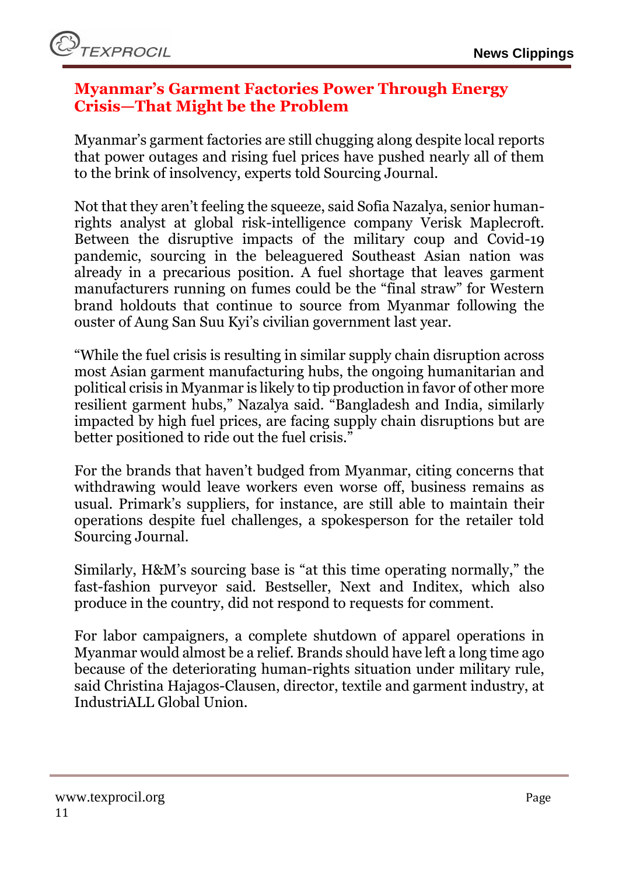#### <span id="page-10-0"></span>**Myanmar's Garment Factories Power Through Energy Crisis—That Might be the Problem**

Myanmar's garment factories are still chugging along despite local reports that power outages and rising fuel prices have pushed nearly all of them to the brink of insolvency, experts told Sourcing Journal.

Not that they aren't feeling the squeeze, said Sofia Nazalya, senior humanrights analyst at global risk-intelligence company Verisk Maplecroft. Between the disruptive impacts of the military coup and Covid-19 pandemic, sourcing in the beleaguered Southeast Asian nation was already in a precarious position. A fuel shortage that leaves garment manufacturers running on fumes could be the "final straw" for Western brand holdouts that continue to source from Myanmar following the ouster of Aung San Suu Kyi's civilian government last year.

"While the fuel crisis is resulting in similar supply chain disruption across most Asian garment manufacturing hubs, the ongoing humanitarian and political crisis in Myanmar is likely to tip production in favor of other more resilient garment hubs," Nazalya said. "Bangladesh and India, similarly impacted by high fuel prices, are facing supply chain disruptions but are better positioned to ride out the fuel crisis."

For the brands that haven't budged from Myanmar, citing concerns that withdrawing would leave workers even worse off, business remains as usual. Primark's suppliers, for instance, are still able to maintain their operations despite fuel challenges, a spokesperson for the retailer told Sourcing Journal.

Similarly, H&M's sourcing base is "at this time operating normally," the fast-fashion purveyor said. Bestseller, Next and Inditex, which also produce in the country, did not respond to requests for comment.

For labor campaigners, a complete shutdown of apparel operations in Myanmar would almost be a relief. Brands should have left a long time ago because of the deteriorating human-rights situation under military rule, said Christina Hajagos-Clausen, director, textile and garment industry, at IndustriALL Global Union.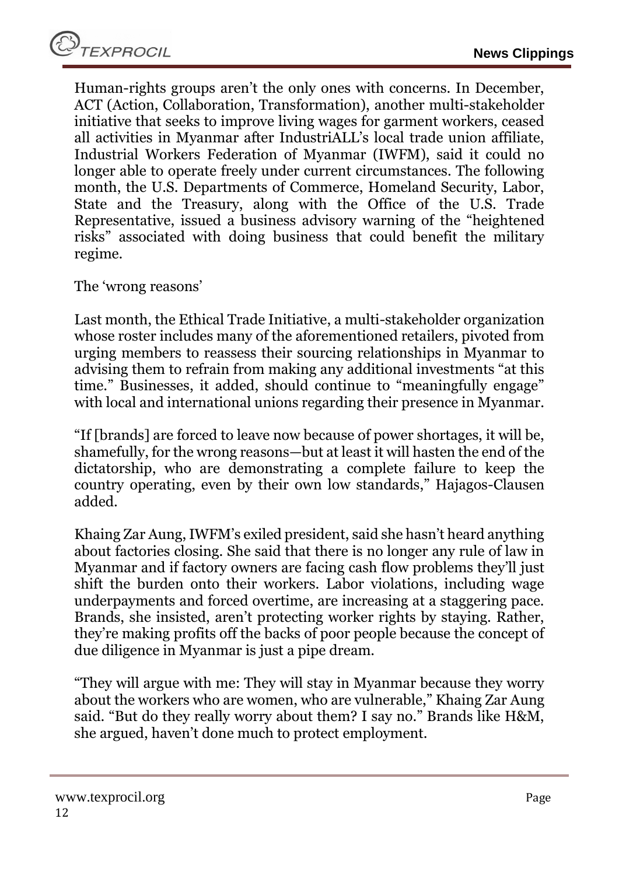Human-rights groups aren't the only ones with concerns. In December, ACT (Action, Collaboration, Transformation), another multi-stakeholder initiative that seeks to improve living wages for garment workers, ceased all activities in Myanmar after IndustriALL's local trade union affiliate, Industrial Workers Federation of Myanmar (IWFM), said it could no longer able to operate freely under current circumstances. The following month, the U.S. Departments of Commerce, Homeland Security, Labor, State and the Treasury, along with the Office of the U.S. Trade Representative, issued a business advisory warning of the "heightened risks" associated with doing business that could benefit the military regime.

The 'wrong reasons'

Last month, the Ethical Trade Initiative, a multi-stakeholder organization whose roster includes many of the aforementioned retailers, pivoted from urging members to reassess their sourcing relationships in Myanmar to advising them to refrain from making any additional investments "at this time." Businesses, it added, should continue to "meaningfully engage" with local and international unions regarding their presence in Myanmar.

"If [brands] are forced to leave now because of power shortages, it will be, shamefully, for the wrong reasons—but at least it will hasten the end of the dictatorship, who are demonstrating a complete failure to keep the country operating, even by their own low standards," Hajagos-Clausen added.

Khaing Zar Aung, IWFM's exiled president, said she hasn't heard anything about factories closing. She said that there is no longer any rule of law in Myanmar and if factory owners are facing cash flow problems they'll just shift the burden onto their workers. Labor violations, including wage underpayments and forced overtime, are increasing at a staggering pace. Brands, she insisted, aren't protecting worker rights by staying. Rather, they're making profits off the backs of poor people because the concept of due diligence in Myanmar is just a pipe dream.

"They will argue with me: They will stay in Myanmar because they worry about the workers who are women, who are vulnerable," Khaing Zar Aung said. "But do they really worry about them? I say no." Brands like H&M, she argued, haven't done much to protect employment.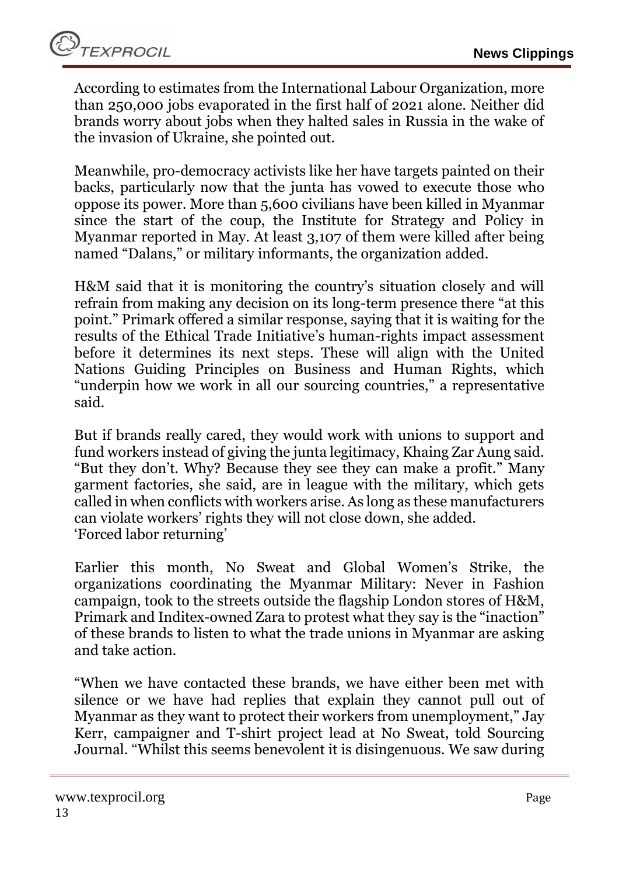According to estimates from the International Labour Organization, more than 250,000 jobs evaporated in the first half of 2021 alone. Neither did brands worry about jobs when they halted sales in Russia in the wake of the invasion of Ukraine, she pointed out.

Meanwhile, pro-democracy activists like her have targets painted on their backs, particularly now that the junta has vowed to execute those who oppose its power. More than 5,600 civilians have been killed in Myanmar since the start of the coup, the Institute for Strategy and Policy in Myanmar reported in May. At least 3,107 of them were killed after being named "Dalans," or military informants, the organization added.

H&M said that it is monitoring the country's situation closely and will refrain from making any decision on its long-term presence there "at this point." Primark offered a similar response, saying that it is waiting for the results of the Ethical Trade Initiative's human-rights impact assessment before it determines its next steps. These will align with the United Nations Guiding Principles on Business and Human Rights, which "underpin how we work in all our sourcing countries," a representative said.

But if brands really cared, they would work with unions to support and fund workers instead of giving the junta legitimacy, Khaing Zar Aung said. "But they don't. Why? Because they see they can make a profit." Many garment factories, she said, are in league with the military, which gets called in when conflicts with workers arise. As long as these manufacturers can violate workers' rights they will not close down, she added. 'Forced labor returning'

Earlier this month, No Sweat and Global Women's Strike, the organizations coordinating the Myanmar Military: Never in Fashion campaign, took to the streets outside the flagship London stores of H&M, Primark and Inditex-owned Zara to protest what they say is the "inaction" of these brands to listen to what the trade unions in Myanmar are asking and take action.

"When we have contacted these brands, we have either been met with silence or we have had replies that explain they cannot pull out of Myanmar as they want to protect their workers from unemployment," Jay Kerr, campaigner and T-shirt project lead at No Sweat, told Sourcing Journal. "Whilst this seems benevolent it is disingenuous. We saw during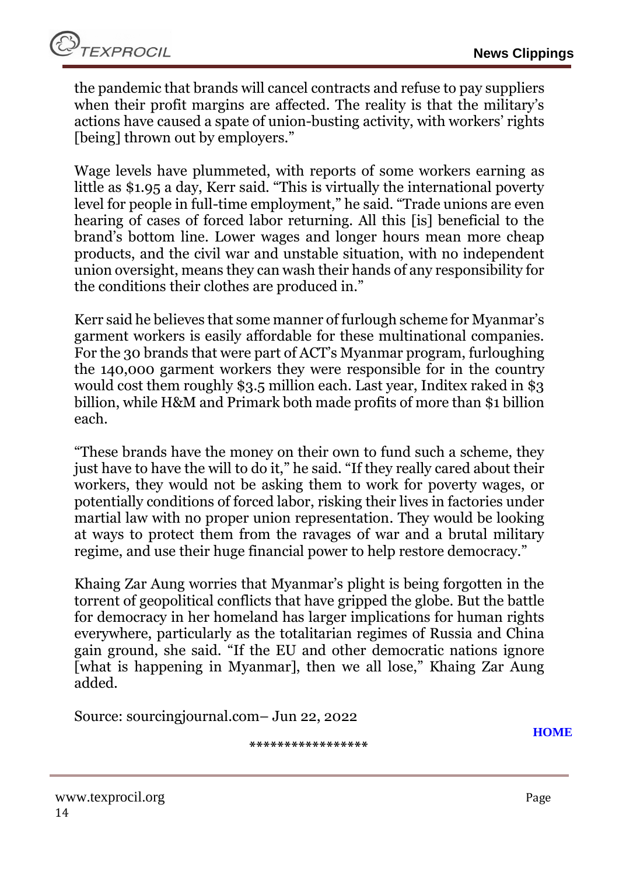the pandemic that brands will cancel contracts and refuse to pay suppliers when their profit margins are affected. The reality is that the military's actions have caused a spate of union-busting activity, with workers' rights [being] thrown out by employers."

Wage levels have plummeted, with reports of some workers earning as little as \$1.95 a day, Kerr said. "This is virtually the international poverty level for people in full-time employment," he said. "Trade unions are even hearing of cases of forced labor returning. All this [is] beneficial to the brand's bottom line. Lower wages and longer hours mean more cheap products, and the civil war and unstable situation, with no independent union oversight, means they can wash their hands of any responsibility for the conditions their clothes are produced in."

Kerr said he believes that some manner of furlough scheme for Myanmar's garment workers is easily affordable for these multinational companies. For the 30 brands that were part of ACT's Myanmar program, furloughing the 140,000 garment workers they were responsible for in the country would cost them roughly \$3.5 million each. Last year, Inditex raked in \$3 billion, while H&M and Primark both made profits of more than \$1 billion each.

"These brands have the money on their own to fund such a scheme, they just have to have the will to do it," he said. "If they really cared about their workers, they would not be asking them to work for poverty wages, or potentially conditions of forced labor, risking their lives in factories under martial law with no proper union representation. They would be looking at ways to protect them from the ravages of war and a brutal military regime, and use their huge financial power to help restore democracy."

Khaing Zar Aung worries that Myanmar's plight is being forgotten in the torrent of geopolitical conflicts that have gripped the globe. But the battle for democracy in her homeland has larger implications for human rights everywhere, particularly as the totalitarian regimes of Russia and China gain ground, she said. "If the EU and other democratic nations ignore [what is happening in Myanmar], then we all lose," Khaing Zar Aung added.

Source: sourcingjournal.com– Jun 22, 2022

**\*\*\*\*\*\*\*\*\*\*\*\*\*\*\*\*\***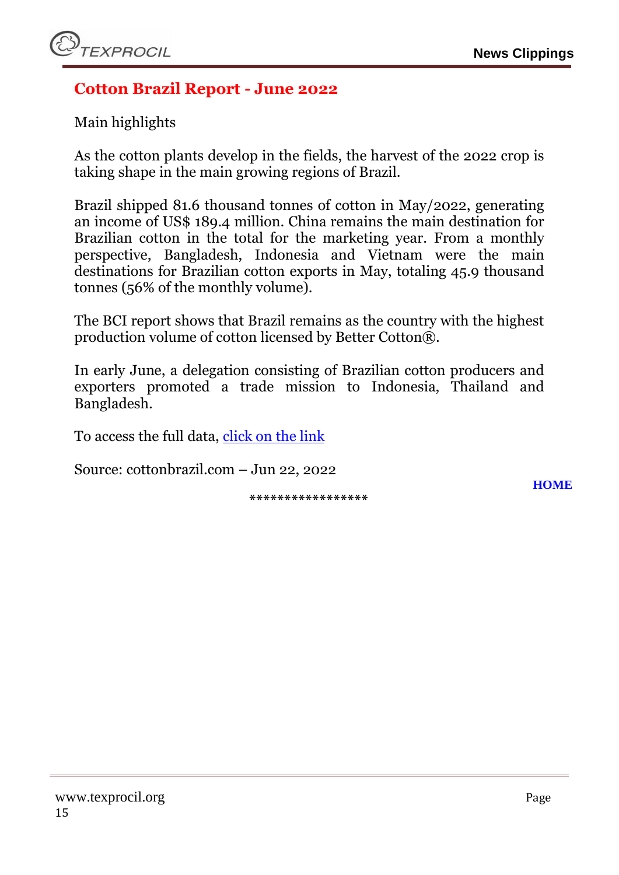#### <span id="page-14-0"></span>**Cotton Brazil Report - June 2022**

Main highlights

As the cotton plants develop in the fields, the harvest of the 2022 crop is taking shape in the main growing regions of Brazil.

Brazil shipped 81.6 thousand tonnes of cotton in May/2022, generating an income of US\$ 189.4 million. China remains the main destination for Brazilian cotton in the total for the marketing year. From a monthly perspective, Bangladesh, Indonesia and Vietnam were the main destinations for Brazilian cotton exports in May, totaling 45.9 thousand tonnes (56% of the monthly volume).

The BCI report shows that Brazil remains as the country with the highest production volume of cotton licensed by Better Cotton®.

In early June, a delegation consisting of Brazilian cotton producers and exporters promoted a trade mission to Indonesia, Thailand and Bangladesh.

To access the full data, [click on the link](https://d335luupugsy2.cloudfront.net/cms%2Ffiles%2F255856%2F1655835970ABRAPA_REPORT_JUN22.pdf?utm_campaign=report_junho&utm_medium=email&utm_source=RD+Station)

Source: cottonbrazil.com – Jun 22, 2022

**\*\*\*\*\*\*\*\*\*\*\*\*\*\*\*\*\***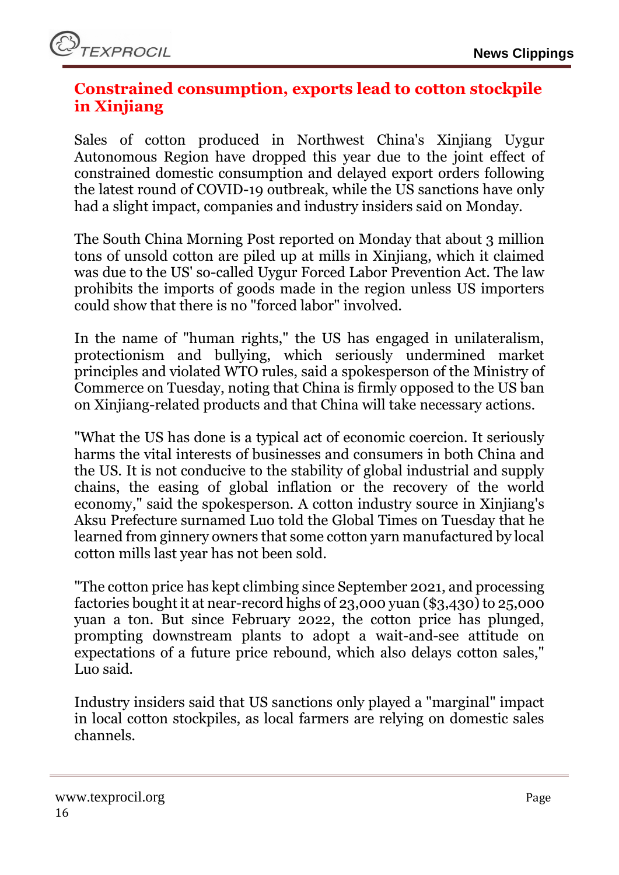#### <span id="page-15-0"></span>**Constrained consumption, exports lead to cotton stockpile in Xinjiang**

Sales of cotton produced in Northwest China's Xinjiang Uygur Autonomous Region have dropped this year due to the joint effect of constrained domestic consumption and delayed export orders following the latest round of COVID-19 outbreak, while the US sanctions have only had a slight impact, companies and industry insiders said on Monday.

The South China Morning Post reported on Monday that about 3 million tons of unsold cotton are piled up at mills in Xinjiang, which it claimed was due to the US' so-called Uygur Forced Labor Prevention Act. The law prohibits the imports of goods made in the region unless US importers could show that there is no "forced labor" involved.

In the name of "human rights," the US has engaged in unilateralism, protectionism and bullying, which seriously undermined market principles and violated WTO rules, said a spokesperson of the Ministry of Commerce on Tuesday, noting that China is firmly opposed to the US ban on Xinjiang-related products and that China will take necessary actions.

"What the US has done is a typical act of economic coercion. It seriously harms the vital interests of businesses and consumers in both China and the US. It is not conducive to the stability of global industrial and supply chains, the easing of global inflation or the recovery of the world economy," said the spokesperson. A cotton industry source in Xinjiang's Aksu Prefecture surnamed Luo told the Global Times on Tuesday that he learned from ginnery owners that some cotton yarn manufactured by local cotton mills last year has not been sold.

"The cotton price has kept climbing since September 2021, and processing factories bought it at near-record highs of 23,000 yuan (\$3,430) to 25,000 yuan a ton. But since February 2022, the cotton price has plunged, prompting downstream plants to adopt a wait-and-see attitude on expectations of a future price rebound, which also delays cotton sales," Luo said.

Industry insiders said that US sanctions only played a "marginal" impact in local cotton stockpiles, as local farmers are relying on domestic sales channels.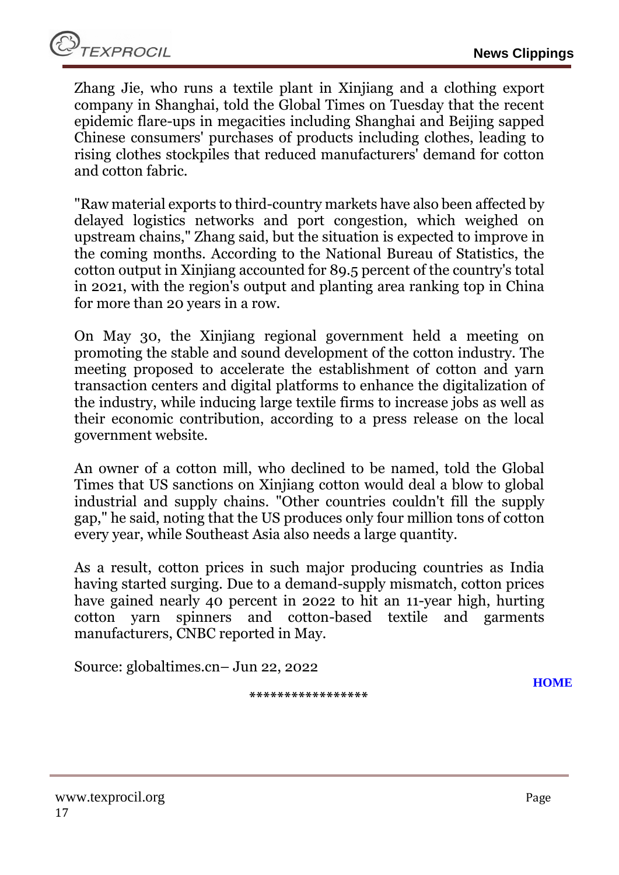TEXPROCIL

Zhang Jie, who runs a textile plant in Xinjiang and a clothing export company in Shanghai, told the Global Times on Tuesday that the recent epidemic flare-ups in megacities including Shanghai and Beijing sapped Chinese consumers' purchases of products including clothes, leading to rising clothes stockpiles that reduced manufacturers' demand for cotton and cotton fabric.

"Raw material exports to third-country markets have also been affected by delayed logistics networks and port congestion, which weighed on upstream chains," Zhang said, but the situation is expected to improve in the coming months. According to the National Bureau of Statistics, the cotton output in Xinjiang accounted for 89.5 percent of the country's total in 2021, with the region's output and planting area ranking top in China for more than 20 years in a row.

On May 30, the Xinjiang regional government held a meeting on promoting the stable and sound development of the cotton industry. The meeting proposed to accelerate the establishment of cotton and yarn transaction centers and digital platforms to enhance the digitalization of the industry, while inducing large textile firms to increase jobs as well as their economic contribution, according to a press release on the local government website.

An owner of a cotton mill, who declined to be named, told the Global Times that US sanctions on Xinjiang cotton would deal a blow to global industrial and supply chains. "Other countries couldn't fill the supply gap," he said, noting that the US produces only four million tons of cotton every year, while Southeast Asia also needs a large quantity.

As a result, cotton prices in such major producing countries as India having started surging. Due to a demand-supply mismatch, cotton prices have gained nearly 40 percent in 2022 to hit an 11-year high, hurting cotton yarn spinners and cotton-based textile and garments manufacturers, CNBC reported in May.

**\*\*\*\*\*\*\*\*\*\*\*\*\*\*\*\*\***

Source: globaltimes.cn– Jun 22, 2022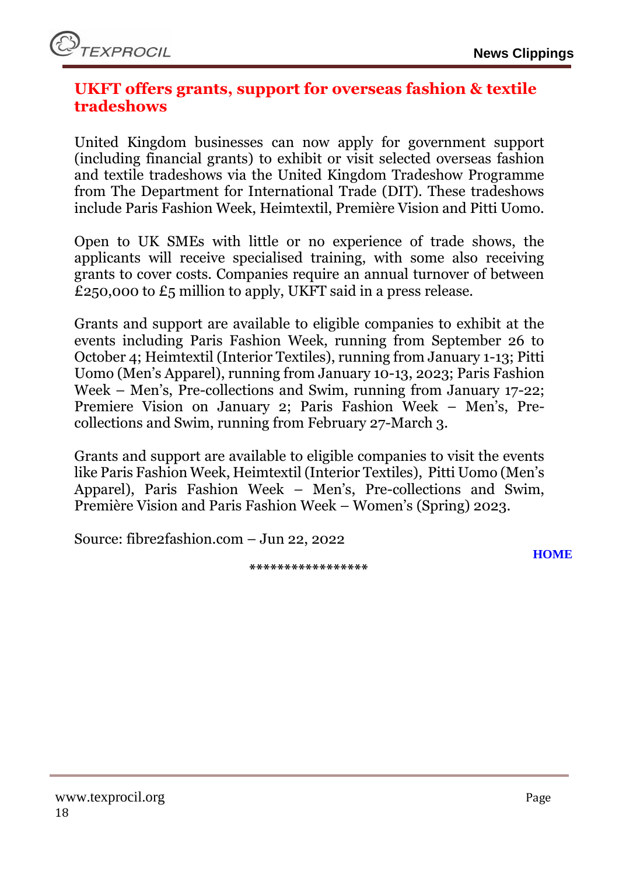#### <span id="page-17-0"></span>**UKFT offers grants, support for overseas fashion & textile tradeshows**

United Kingdom businesses can now apply for government support (including financial grants) to exhibit or visit selected overseas fashion and textile tradeshows via the United Kingdom Tradeshow Programme from The Department for International Trade (DIT). These tradeshows include Paris Fashion Week, Heimtextil, Première Vision and Pitti Uomo.

Open to UK SMEs with little or no experience of trade shows, the applicants will receive specialised training, with some also receiving grants to cover costs. Companies require an annual turnover of between £250,000 to £5 million to apply, UKFT said in a press release.

Grants and support are available to eligible companies to exhibit at the events including Paris Fashion Week, running from September 26 to October 4; Heimtextil (Interior Textiles), running from January 1-13; Pitti Uomo (Men's Apparel), running from January 10-13, 2023; Paris Fashion Week – Men's, Pre-collections and Swim, running from January 17-22; Premiere Vision on January 2; Paris Fashion Week – Men's, Precollections and Swim, running from February 27-March 3.

Grants and support are available to eligible companies to visit the events like Paris Fashion Week, Heimtextil (Interior Textiles), Pitti Uomo (Men's Apparel), Paris Fashion Week – Men's, Pre-collections and Swim, Première Vision and Paris Fashion Week – Women's (Spring) 2023.

Source: fibre2fashion.com – Jun 22, 2022

**\*\*\*\*\*\*\*\*\*\*\*\*\*\*\*\*\***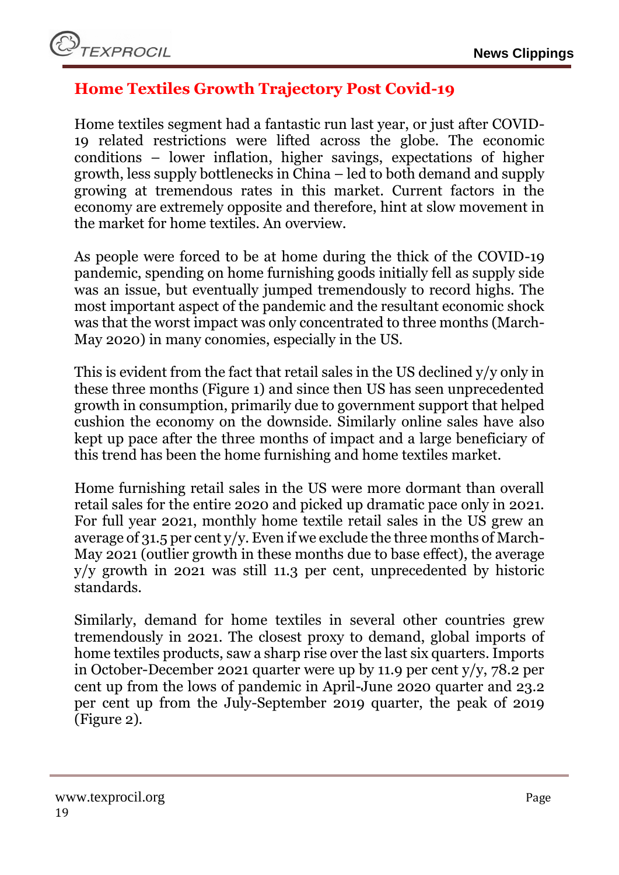## <span id="page-18-0"></span>**Home Textiles Growth Trajectory Post Covid-19**

Home textiles segment had a fantastic run last year, or just after COVID-19 related restrictions were lifted across the globe. The economic conditions – lower inflation, higher savings, expectations of higher growth, less supply bottlenecks in China – led to both demand and supply growing at tremendous rates in this market. Current factors in the economy are extremely opposite and therefore, hint at slow movement in the market for home textiles. An overview.

As people were forced to be at home during the thick of the COVID-19 pandemic, spending on home furnishing goods initially fell as supply side was an issue, but eventually jumped tremendously to record highs. The most important aspect of the pandemic and the resultant economic shock was that the worst impact was only concentrated to three months (March-May 2020) in many conomies, especially in the US.

This is evident from the fact that retail sales in the US declined y/y only in these three months (Figure 1) and since then US has seen unprecedented growth in consumption, primarily due to government support that helped cushion the economy on the downside. Similarly online sales have also kept up pace after the three months of impact and a large beneficiary of this trend has been the home furnishing and home textiles market.

Home furnishing retail sales in the US were more dormant than overall retail sales for the entire 2020 and picked up dramatic pace only in 2021. For full year 2021, monthly home textile retail sales in the US grew an average of 31.5 per cent y/y. Even if we exclude the three months of March-May 2021 (outlier growth in these months due to base effect), the average y/y growth in 2021 was still 11.3 per cent, unprecedented by historic standards.

Similarly, demand for home textiles in several other countries grew tremendously in 2021. The closest proxy to demand, global imports of home textiles products, saw a sharp rise over the last six quarters. Imports in October-December 2021 quarter were up by 11.9 per cent y/y, 78.2 per cent up from the lows of pandemic in April-June 2020 quarter and 23.2 per cent up from the July-September 2019 quarter, the peak of 2019 (Figure 2).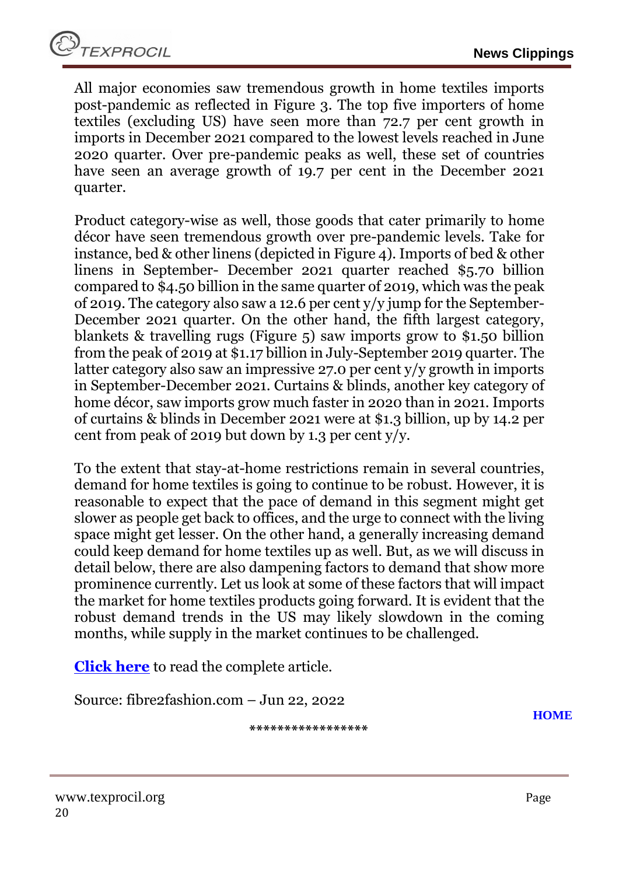All major economies saw tremendous growth in home textiles imports post-pandemic as reflected in Figure 3. The top five importers of home textiles (excluding US) have seen more than 72.7 per cent growth in imports in December 2021 compared to the lowest levels reached in June 2020 quarter. Over pre-pandemic peaks as well, these set of countries have seen an average growth of 19.7 per cent in the December 2021 quarter.

Product category-wise as well, those goods that cater primarily to home décor have seen tremendous growth over pre-pandemic levels. Take for instance, bed & other linens (depicted in Figure 4). Imports of bed & other linens in September- December 2021 quarter reached \$5.70 billion compared to \$4.50 billion in the same quarter of 2019, which was the peak of 2019. The category also saw a 12.6 per cent y/y jump for the September-December 2021 quarter. On the other hand, the fifth largest category, blankets & travelling rugs (Figure 5) saw imports grow to \$1.50 billion from the peak of 2019 at \$1.17 billion in July-September 2019 quarter. The latter category also saw an impressive 27.0 per cent y/y growth in imports in September-December 2021. Curtains & blinds, another key category of home décor, saw imports grow much faster in 2020 than in 2021. Imports of curtains & blinds in December 2021 were at \$1.3 billion, up by 14.2 per cent from peak of 2019 but down by 1.3 per cent  $y/y$ .

To the extent that stay-at-home restrictions remain in several countries, demand for home textiles is going to continue to be robust. However, it is reasonable to expect that the pace of demand in this segment might get slower as people get back to offices, and the urge to connect with the living space might get lesser. On the other hand, a generally increasing demand could keep demand for home textiles up as well. But, as we will discuss in detail below, there are also dampening factors to demand that show more prominence currently. Let us look at some of these factors that will impact the market for home textiles products going forward. It is evident that the robust demand trends in the US may likely slowdown in the coming months, while supply in the market continues to be challenged.

**[Click here](https://static.fibre2fashion.com/articleresources/PdfFiles/94/Article%20-%20TREND%20GLOBAL%20MARKET%20-%2076-80_9387.PDF)** to read the complete article.

Source: fibre2fashion.com – Jun 22, 2022

**\*\*\*\*\*\*\*\*\*\*\*\*\*\*\*\*\***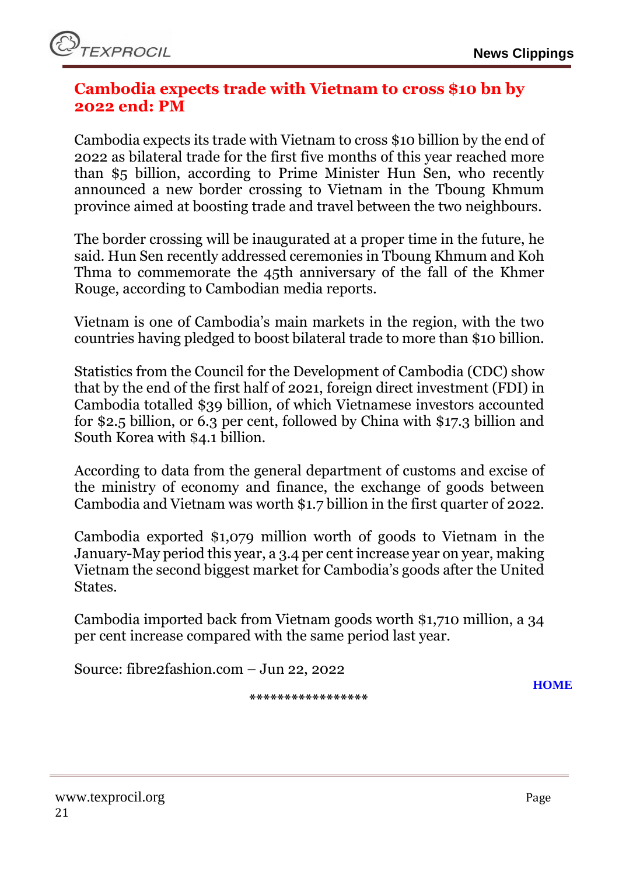#### <span id="page-20-0"></span>**Cambodia expects trade with Vietnam to cross \$10 bn by 2022 end: PM**

Cambodia expects its trade with Vietnam to cross \$10 billion by the end of 2022 as bilateral trade for the first five months of this year reached more than \$5 billion, according to Prime Minister Hun Sen, who recently announced a new border crossing to Vietnam in the Tboung Khmum province aimed at boosting trade and travel between the two neighbours.

The border crossing will be inaugurated at a proper time in the future, he said. Hun Sen recently addressed ceremonies in Tboung Khmum and Koh Thma to commemorate the 45th anniversary of the fall of the Khmer Rouge, according to Cambodian media reports.

Vietnam is one of Cambodia's main markets in the region, with the two countries having pledged to boost bilateral trade to more than \$10 billion.

Statistics from the Council for the Development of Cambodia (CDC) show that by the end of the first half of 2021, foreign direct investment (FDI) in Cambodia totalled \$39 billion, of which Vietnamese investors accounted for \$2.5 billion, or 6.3 per cent, followed by China with \$17.3 billion and South Korea with \$4.1 billion.

According to data from the general department of customs and excise of the ministry of economy and finance, the exchange of goods between Cambodia and Vietnam was worth \$1.7 billion in the first quarter of 2022.

Cambodia exported \$1,079 million worth of goods to Vietnam in the January-May period this year, a 3.4 per cent increase year on year, making Vietnam the second biggest market for Cambodia's goods after the United States.

Cambodia imported back from Vietnam goods worth \$1,710 million, a 34 per cent increase compared with the same period last year.

Source: fibre2fashion.com – Jun 22, 2022

**[HOME](#page-0-0)**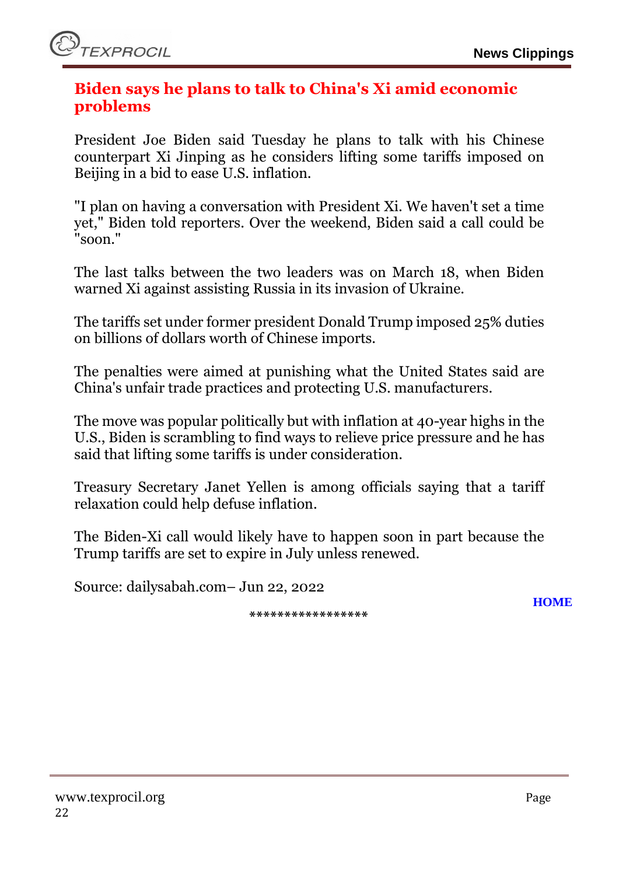#### <span id="page-21-0"></span>**Biden says he plans to talk to China's Xi amid economic problems**

President Joe Biden said Tuesday he plans to talk with his Chinese counterpart Xi Jinping as he considers lifting some tariffs imposed on Beijing in a bid to ease U.S. inflation.

"I plan on having a conversation with President Xi. We haven't set a time yet," Biden told reporters. Over the weekend, Biden said a call could be "soon."

The last talks between the two leaders was on March 18, when Biden warned Xi against assisting Russia in its invasion of Ukraine.

The tariffs set under former president Donald Trump imposed 25% duties on billions of dollars worth of Chinese imports.

The penalties were aimed at punishing what the United States said are China's unfair trade practices and protecting U.S. manufacturers.

The move was popular politically but with inflation at 40-year highs in the U.S., Biden is scrambling to find ways to relieve price pressure and he has said that lifting some tariffs is under consideration.

Treasury Secretary Janet Yellen is among officials saying that a tariff relaxation could help defuse inflation.

The Biden-Xi call would likely have to happen soon in part because the Trump tariffs are set to expire in July unless renewed.

Source: dailysabah.com– Jun 22, 2022

**\*\*\*\*\*\*\*\*\*\*\*\*\*\*\*\*\***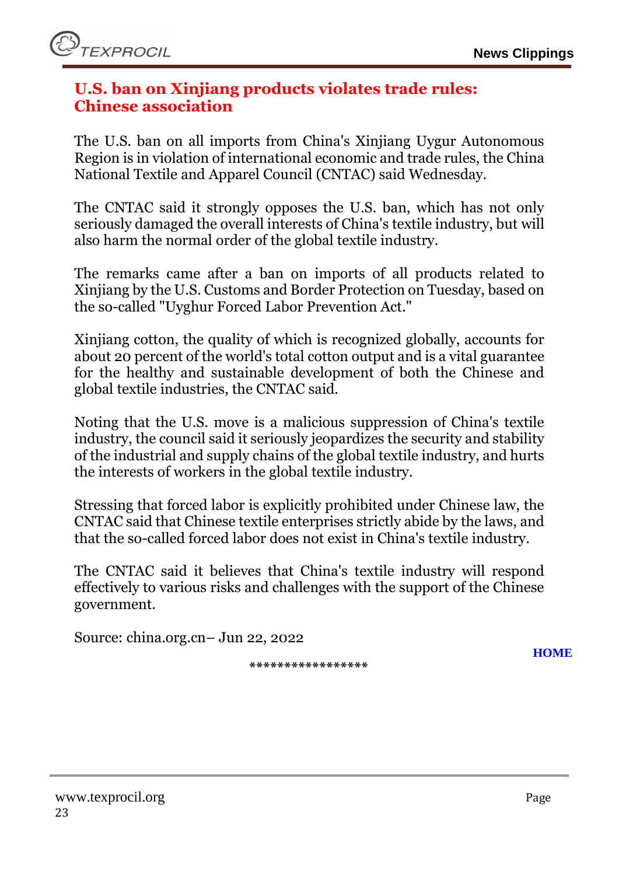#### <span id="page-22-0"></span>**U.S. ban on Xinjiang products violates trade rules: Chinese association**

The U.S. ban on all imports from China's Xinjiang Uygur Autonomous Region is in violation of international economic and trade rules, the China National Textile and Apparel Council (CNTAC) said Wednesday.

The CNTAC said it strongly opposes the U.S. ban, which has not only seriously damaged the overall interests of China's textile industry, but will also harm the normal order of the global textile industry.

The remarks came after a ban on imports of all products related to Xinjiang by the U.S. Customs and Border Protection on Tuesday, based on the so-called "Uyghur Forced Labor Prevention Act."

Xinjiang cotton, the quality of which is recognized globally, accounts for about 20 percent of the world's total cotton output and is a vital guarantee for the healthy and sustainable development of both the Chinese and global textile industries, the CNTAC said.

Noting that the U.S. move is a malicious suppression of China's textile industry, the council said it seriously jeopardizes the security and stability of the industrial and supply chains of the global textile industry, and hurts the interests of workers in the global textile industry.

Stressing that forced labor is explicitly prohibited under Chinese law, the CNTAC said that Chinese textile enterprises strictly abide by the laws, and that the so-called forced labor does not exist in China's textile industry.

The CNTAC said it believes that China's textile industry will respond effectively to various risks and challenges with the support of the Chinese government.

Source: china.org.cn– Jun 22, 2022

**\*\*\*\*\*\*\*\*\*\*\*\*\*\*\*\*\***

www.texprocil.org Page 23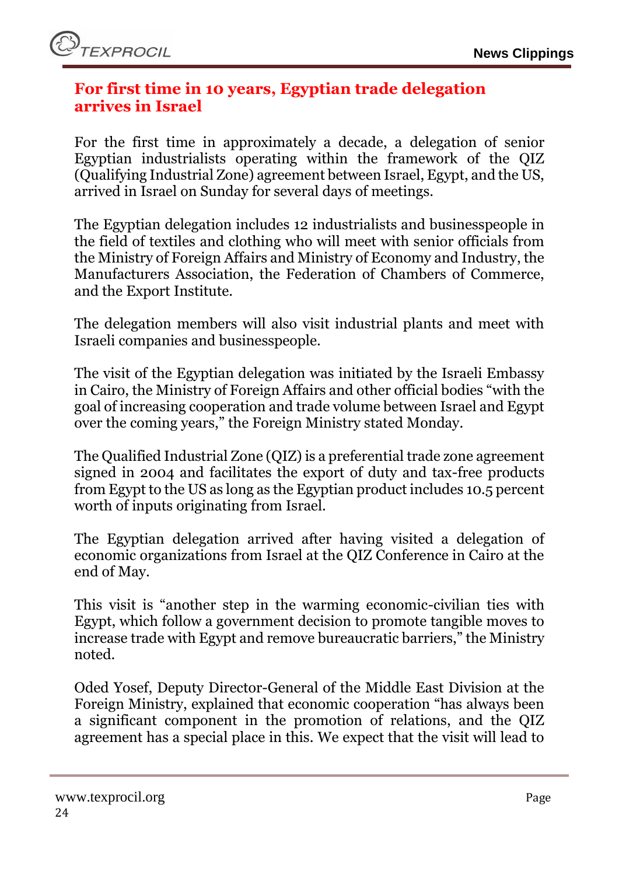

#### <span id="page-23-0"></span>**For first time in 10 years, Egyptian trade delegation arrives in Israel**

For the first time in approximately a decade, a delegation of senior Egyptian industrialists operating within the framework of the QIZ (Qualifying Industrial Zone) agreement between Israel, Egypt, and the US, arrived in Israel on Sunday for several days of meetings.

The Egyptian delegation includes 12 industrialists and businesspeople in the field of textiles and clothing who will meet with senior officials from the Ministry of Foreign Affairs and Ministry of Economy and Industry, the Manufacturers Association, the Federation of Chambers of Commerce, and the Export Institute.

The delegation members will also visit industrial plants and meet with Israeli companies and businesspeople.

The visit of the Egyptian delegation was initiated by the Israeli Embassy in Cairo, the Ministry of Foreign Affairs and other official bodies "with the goal of increasing cooperation and trade volume between Israel and Egypt over the coming years," the Foreign Ministry stated Monday.

The Qualified Industrial Zone (QIZ) is a preferential trade zone agreement signed in 2004 and facilitates the export of duty and tax-free products from Egypt to the US as long as the Egyptian product includes 10.5 percent worth of inputs originating from Israel.

The Egyptian delegation arrived after having visited a delegation of economic organizations from Israel at the QIZ Conference in Cairo at the end of May.

This visit is "another step in the warming economic-civilian ties with Egypt, which follow a government decision to promote tangible moves to increase trade with Egypt and remove bureaucratic barriers," the Ministry noted.

Oded Yosef, Deputy Director-General of the Middle East Division at the Foreign Ministry, explained that economic cooperation "has always been a significant component in the promotion of relations, and the QIZ agreement has a special place in this. We expect that the visit will lead to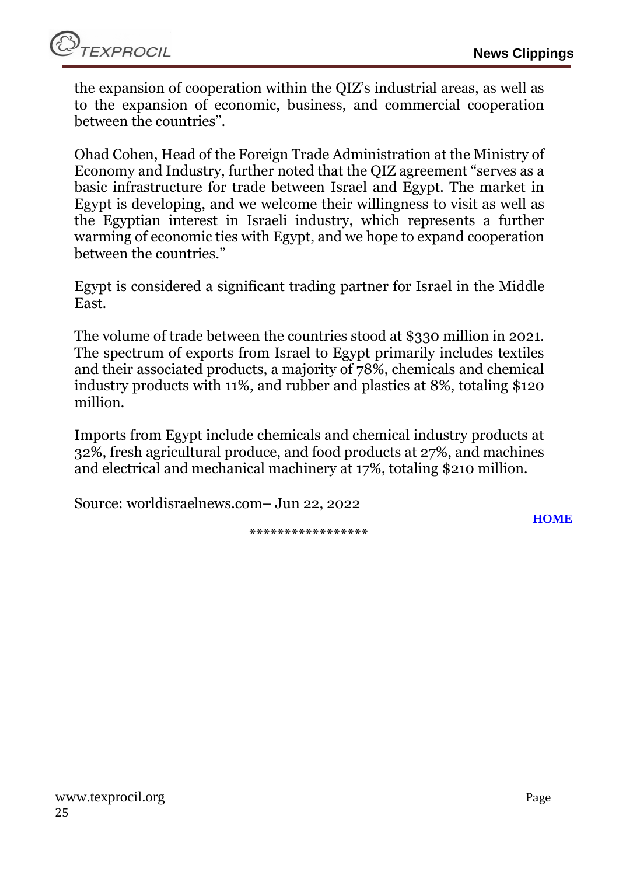the expansion of cooperation within the QIZ's industrial areas, as well as to the expansion of economic, business, and commercial cooperation between the countries".

Ohad Cohen, Head of the Foreign Trade Administration at the Ministry of Economy and Industry, further noted that the QIZ agreement "serves as a basic infrastructure for trade between Israel and Egypt. The market in Egypt is developing, and we welcome their willingness to visit as well as the Egyptian interest in Israeli industry, which represents a further warming of economic ties with Egypt, and we hope to expand cooperation between the countries."

Egypt is considered a significant trading partner for Israel in the Middle East.

The volume of trade between the countries stood at \$330 million in 2021. The spectrum of exports from Israel to Egypt primarily includes textiles and their associated products, a majority of 78%, chemicals and chemical industry products with 11%, and rubber and plastics at 8%, totaling \$120 million.

Imports from Egypt include chemicals and chemical industry products at 32%, fresh agricultural produce, and food products at 27%, and machines and electrical and mechanical machinery at 17%, totaling \$210 million.

Source: worldisraelnews.com– Jun 22, 2022

**[HOME](#page-0-0)**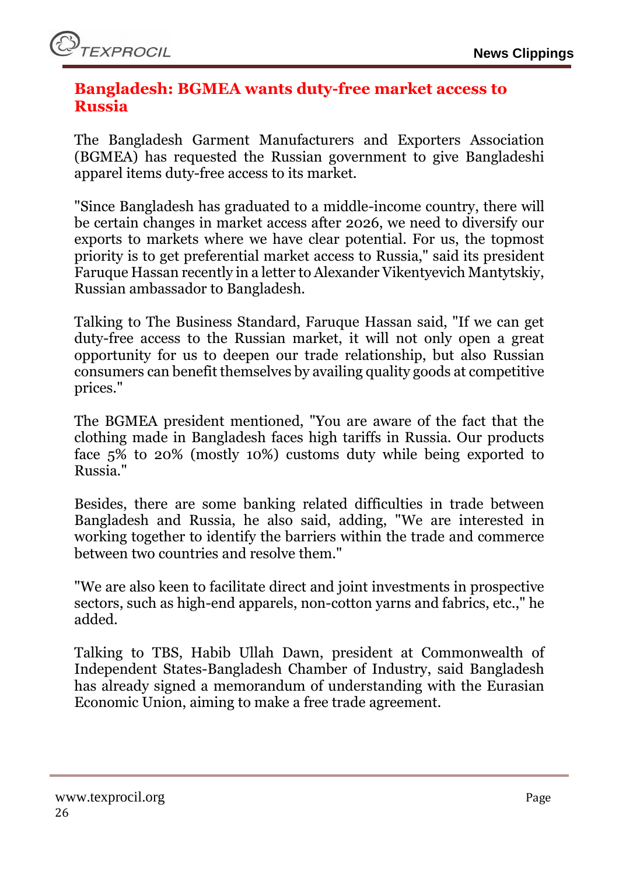#### <span id="page-25-0"></span>**Bangladesh: BGMEA wants duty-free market access to Russia**

The Bangladesh Garment Manufacturers and Exporters Association (BGMEA) has requested the Russian government to give Bangladeshi apparel items duty-free access to its market.

"Since Bangladesh has graduated to a middle-income country, there will be certain changes in market access after 2026, we need to diversify our exports to markets where we have clear potential. For us, the topmost priority is to get preferential market access to Russia," said its president Faruque Hassan recently in a letter to Alexander Vikentyevich Mantytskiy, Russian ambassador to Bangladesh.

Talking to The Business Standard, Faruque Hassan said, "If we can get duty-free access to the Russian market, it will not only open a great opportunity for us to deepen our trade relationship, but also Russian consumers can benefit themselves by availing quality goods at competitive prices."

The BGMEA president mentioned, "You are aware of the fact that the clothing made in Bangladesh faces high tariffs in Russia. Our products face 5% to 20% (mostly 10%) customs duty while being exported to Russia."

Besides, there are some banking related difficulties in trade between Bangladesh and Russia, he also said, adding, "We are interested in working together to identify the barriers within the trade and commerce between two countries and resolve them."

"We are also keen to facilitate direct and joint investments in prospective sectors, such as high-end apparels, non-cotton yarns and fabrics, etc.," he added.

Talking to TBS, Habib Ullah Dawn, president at Commonwealth of Independent States-Bangladesh Chamber of Industry, said Bangladesh has already signed a memorandum of understanding with the Eurasian Economic Union, aiming to make a free trade agreement.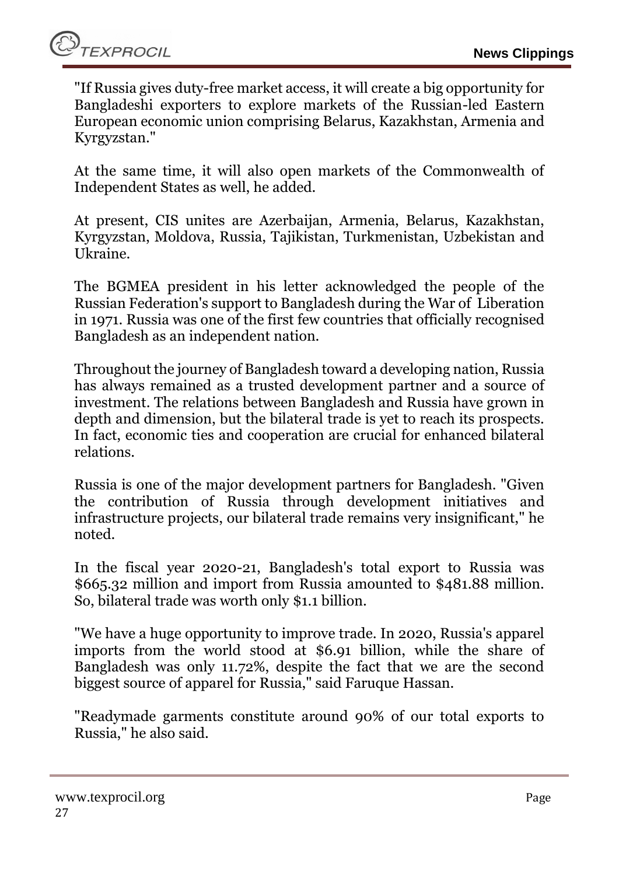"If Russia gives duty-free market access, it will create a big opportunity for Bangladeshi exporters to explore markets of the Russian-led Eastern European economic union comprising Belarus, Kazakhstan, Armenia and Kyrgyzstan."

At the same time, it will also open markets of the Commonwealth of Independent States as well, he added.

At present, CIS unites are Azerbaijan, Armenia, Belarus, Kazakhstan, Kyrgyzstan, Moldova, Russia, Tajikistan, Turkmenistan, Uzbekistan and Ukraine.

The BGMEA president in his letter acknowledged the people of the Russian Federation's support to Bangladesh during the War of Liberation in 1971. Russia was one of the first few countries that officially recognised Bangladesh as an independent nation.

Throughout the journey of Bangladesh toward a developing nation, Russia has always remained as a trusted development partner and a source of investment. The relations between Bangladesh and Russia have grown in depth and dimension, but the bilateral trade is yet to reach its prospects. In fact, economic ties and cooperation are crucial for enhanced bilateral relations.

Russia is one of the major development partners for Bangladesh. "Given the contribution of Russia through development initiatives and infrastructure projects, our bilateral trade remains very insignificant," he noted.

In the fiscal year 2020-21, Bangladesh's total export to Russia was \$665.32 million and import from Russia amounted to \$481.88 million. So, bilateral trade was worth only \$1.1 billion.

"We have a huge opportunity to improve trade. In 2020, Russia's apparel imports from the world stood at \$6.91 billion, while the share of Bangladesh was only 11.72%, despite the fact that we are the second biggest source of apparel for Russia," said Faruque Hassan.

"Readymade garments constitute around 90% of our total exports to Russia," he also said.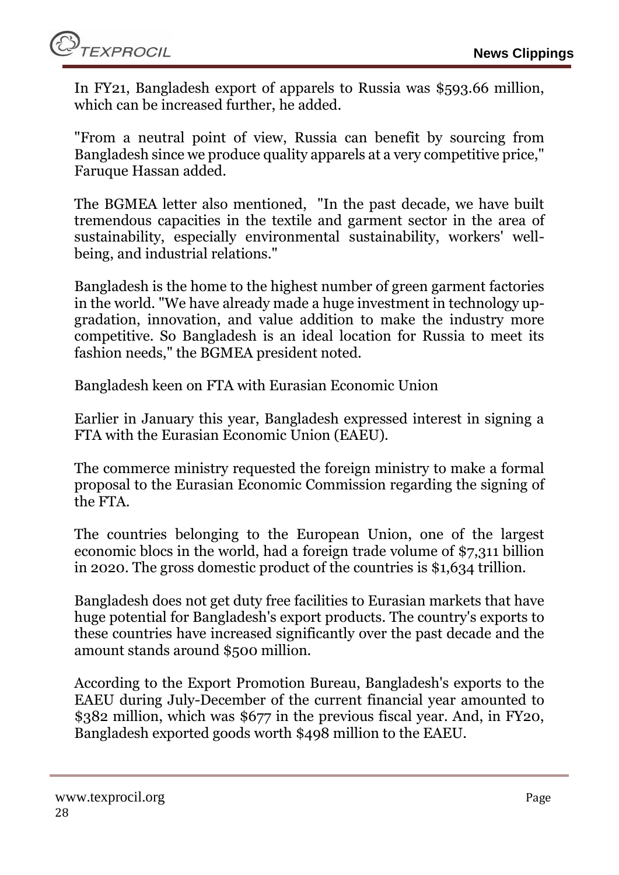In FY21, Bangladesh export of apparels to Russia was \$593.66 million, which can be increased further, he added.

"From a neutral point of view, Russia can benefit by sourcing from Bangladesh since we produce quality apparels at a very competitive price," Faruque Hassan added.

The BGMEA letter also mentioned, "In the past decade, we have built tremendous capacities in the textile and garment sector in the area of sustainability, especially environmental sustainability, workers' wellbeing, and industrial relations."

Bangladesh is the home to the highest number of green garment factories in the world. "We have already made a huge investment in technology upgradation, innovation, and value addition to make the industry more competitive. So Bangladesh is an ideal location for Russia to meet its fashion needs," the BGMEA president noted.

Bangladesh keen on FTA with Eurasian Economic Union

Earlier in January this year, Bangladesh expressed interest in signing a FTA with the Eurasian Economic Union (EAEU).

The commerce ministry requested the foreign ministry to make a formal proposal to the Eurasian Economic Commission regarding the signing of the FTA.

The countries belonging to the European Union, one of the largest economic blocs in the world, had a foreign trade volume of \$7,311 billion in 2020. The gross domestic product of the countries is \$1,634 trillion.

Bangladesh does not get duty free facilities to Eurasian markets that have huge potential for Bangladesh's export products. The country's exports to these countries have increased significantly over the past decade and the amount stands around \$500 million.

According to the Export Promotion Bureau, Bangladesh's exports to the EAEU during July-December of the current financial year amounted to \$382 million, which was \$677 in the previous fiscal year. And, in FY20, Bangladesh exported goods worth \$498 million to the EAEU.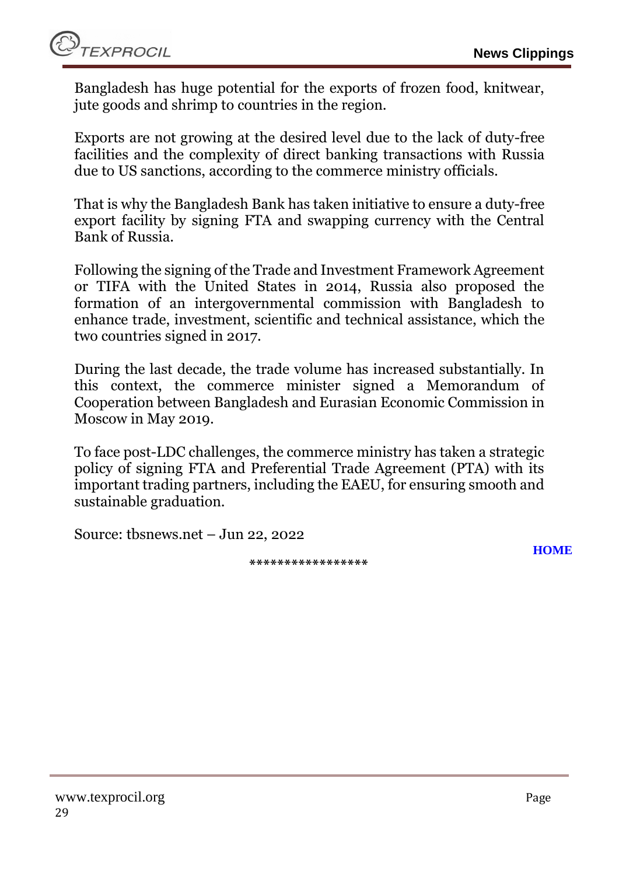*EXPROCIL* 

Bangladesh has huge potential for the exports of frozen food, knitwear, jute goods and shrimp to countries in the region.

Exports are not growing at the desired level due to the lack of duty-free facilities and the complexity of direct banking transactions with Russia due to US sanctions, according to the commerce ministry officials.

That is why the Bangladesh Bank has taken initiative to ensure a duty-free export facility by signing FTA and swapping currency with the Central Bank of Russia.

Following the signing of the Trade and Investment Framework Agreement or TIFA with the United States in 2014, Russia also proposed the formation of an intergovernmental commission with Bangladesh to enhance trade, investment, scientific and technical assistance, which the two countries signed in 2017.

During the last decade, the trade volume has increased substantially. In this context, the commerce minister signed a Memorandum of Cooperation between Bangladesh and Eurasian Economic Commission in Moscow in May 2019.

To face post-LDC challenges, the commerce ministry has taken a strategic policy of signing FTA and Preferential Trade Agreement (PTA) with its important trading partners, including the EAEU, for ensuring smooth and sustainable graduation.

Source: tbsnews.net – Jun 22, 2022

**\*\*\*\*\*\*\*\*\*\*\*\*\*\*\*\*\***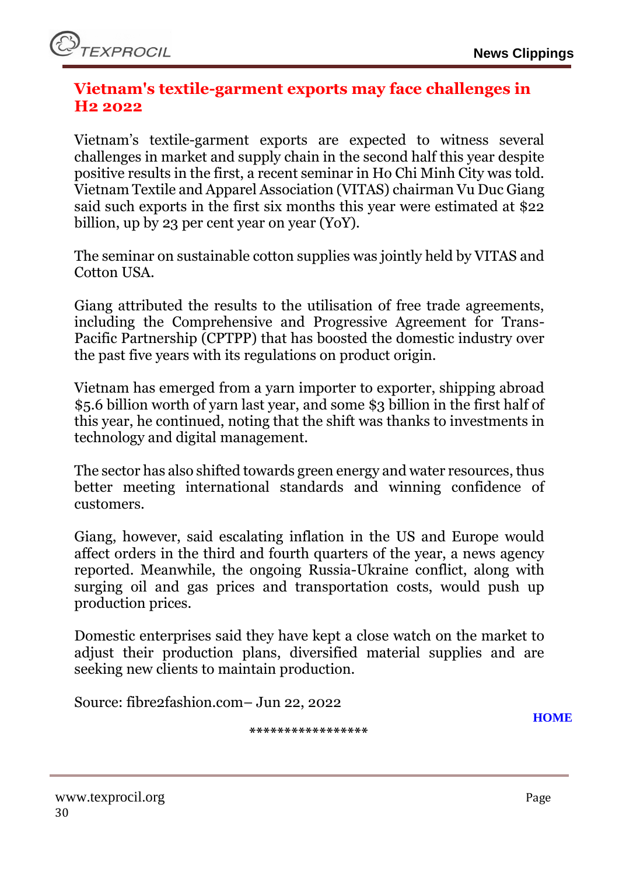#### <span id="page-29-0"></span>**Vietnam's textile-garment exports may face challenges in H2 2022**

Vietnam's textile-garment exports are expected to witness several challenges in market and supply chain in the second half this year despite positive results in the first, a recent seminar in Ho Chi Minh City was told. Vietnam Textile and Apparel Association (VITAS) chairman Vu Duc Giang said such exports in the first six months this year were estimated at \$22 billion, up by 23 per cent year on year (YoY).

The seminar on sustainable cotton supplies was jointly held by VITAS and Cotton USA.

Giang attributed the results to the utilisation of free trade agreements, including the Comprehensive and Progressive Agreement for Trans-Pacific Partnership (CPTPP) that has boosted the domestic industry over the past five years with its regulations on product origin.

Vietnam has emerged from a yarn importer to exporter, shipping abroad \$5.6 billion worth of yarn last year, and some \$3 billion in the first half of this year, he continued, noting that the shift was thanks to investments in technology and digital management.

The sector has also shifted towards green energy and water resources, thus better meeting international standards and winning confidence of customers.

Giang, however, said escalating inflation in the US and Europe would affect orders in the third and fourth quarters of the year, a news agency reported. Meanwhile, the ongoing Russia-Ukraine conflict, along with surging oil and gas prices and transportation costs, would push up production prices.

Domestic enterprises said they have kept a close watch on the market to adjust their production plans, diversified material supplies and are seeking new clients to maintain production.

Source: fibre2fashion.com– Jun 22, 2022

**[HOME](#page-0-0)**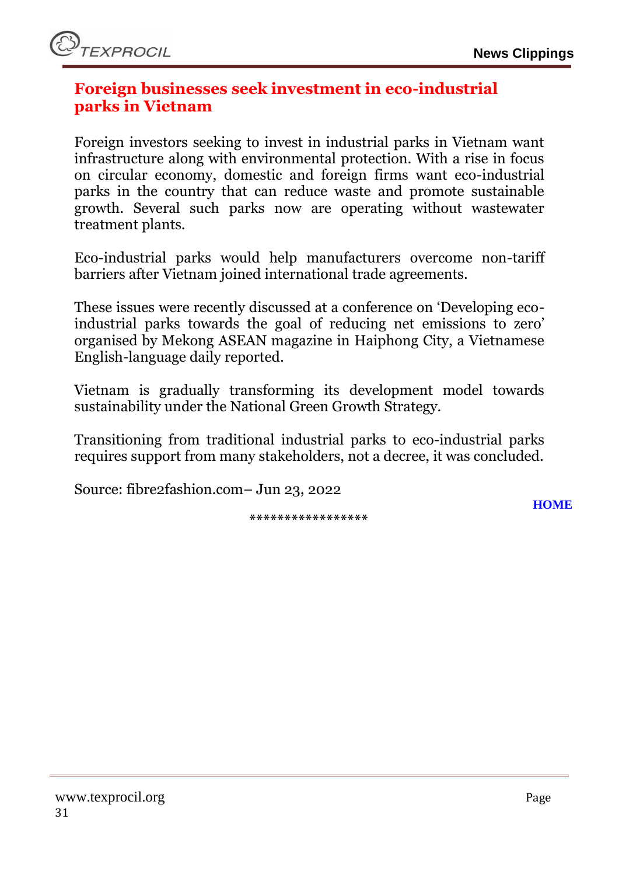#### <span id="page-30-0"></span>**Foreign businesses seek investment in eco-industrial parks in Vietnam**

Foreign investors seeking to invest in industrial parks in Vietnam want infrastructure along with environmental protection. With a rise in focus on circular economy, domestic and foreign firms want eco-industrial parks in the country that can reduce waste and promote sustainable growth. Several such parks now are operating without wastewater treatment plants.

Eco-industrial parks would help manufacturers overcome non-tariff barriers after Vietnam joined international trade agreements.

These issues were recently discussed at a conference on 'Developing ecoindustrial parks towards the goal of reducing net emissions to zero' organised by Mekong ASEAN magazine in Haiphong City, a Vietnamese English-language daily reported.

Vietnam is gradually transforming its development model towards sustainability under the National Green Growth Strategy.

Transitioning from traditional industrial parks to eco-industrial parks requires support from many stakeholders, not a decree, it was concluded.

Source: fibre2fashion.com– Jun 23, 2022

**\*\*\*\*\*\*\*\*\*\*\*\*\*\*\*\*\***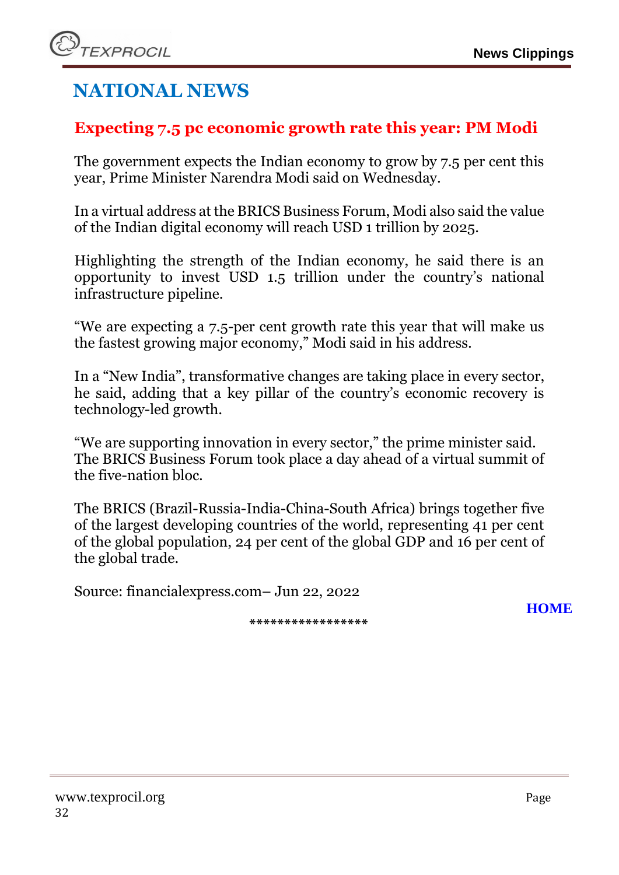# **NATIONAL NEWS**

### <span id="page-31-0"></span>**Expecting 7.5 pc economic growth rate this year: PM Modi**

The government expects the Indian economy to grow by 7.5 per cent this year, Prime Minister Narendra Modi said on Wednesday.

In a virtual address at the BRICS Business Forum, Modi also said the value of the Indian digital economy will reach USD 1 trillion by 2025.

Highlighting the strength of the Indian economy, he said there is an opportunity to invest USD 1.5 trillion under the country's national infrastructure pipeline.

"We are expecting a 7.5-per cent growth rate this year that will make us the fastest growing major economy," Modi said in his address.

In a "New India", transformative changes are taking place in every sector, he said, adding that a key pillar of the country's economic recovery is technology-led growth.

"We are supporting innovation in every sector," the prime minister said. The BRICS Business Forum took place a day ahead of a virtual summit of the five-nation bloc.

The BRICS (Brazil-Russia-India-China-South Africa) brings together five of the largest developing countries of the world, representing 41 per cent of the global population, 24 per cent of the global GDP and 16 per cent of the global trade.

Source: financialexpress.com– Jun 22, 2022

**\*\*\*\*\*\*\*\*\*\*\*\*\*\*\*\*\***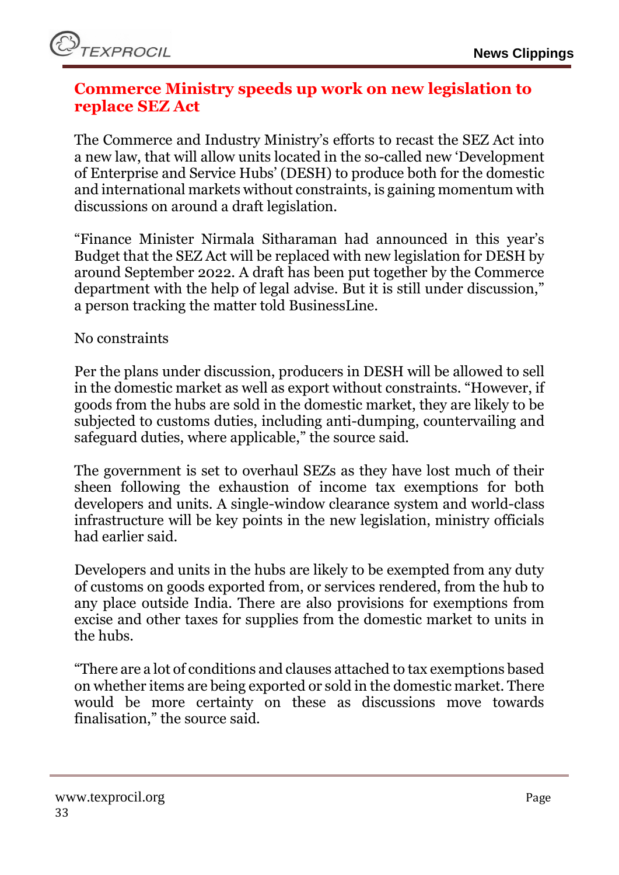#### <span id="page-32-0"></span>**Commerce Ministry speeds up work on new legislation to replace SEZ Act**

The Commerce and Industry Ministry's efforts to recast the SEZ Act into a new law, that will allow units located in the so-called new 'Development of Enterprise and Service Hubs' (DESH) to produce both for the domestic and international markets without constraints, is gaining momentum with discussions on around a draft legislation.

"Finance Minister Nirmala Sitharaman had announced in this year's Budget that the SEZ Act will be replaced with new legislation for DESH by around September 2022. A draft has been put together by the Commerce department with the help of legal advise. But it is still under discussion," a person tracking the matter told BusinessLine.

No constraints

Per the plans under discussion, producers in DESH will be allowed to sell in the domestic market as well as export without constraints. "However, if goods from the hubs are sold in the domestic market, they are likely to be subjected to customs duties, including anti-dumping, countervailing and safeguard duties, where applicable," the source said.

The government is set to overhaul SEZs as they have lost much of their sheen following the exhaustion of income tax exemptions for both developers and units. A single-window clearance system and world-class infrastructure will be key points in the new legislation, ministry officials had earlier said.

Developers and units in the hubs are likely to be exempted from any duty of customs on goods exported from, or services rendered, from the hub to any place outside India. There are also provisions for exemptions from excise and other taxes for supplies from the domestic market to units in the hubs.

"There are a lot of conditions and clauses attached to tax exemptions based on whether items are being exported or sold in the domestic market. There would be more certainty on these as discussions move towards finalisation," the source said.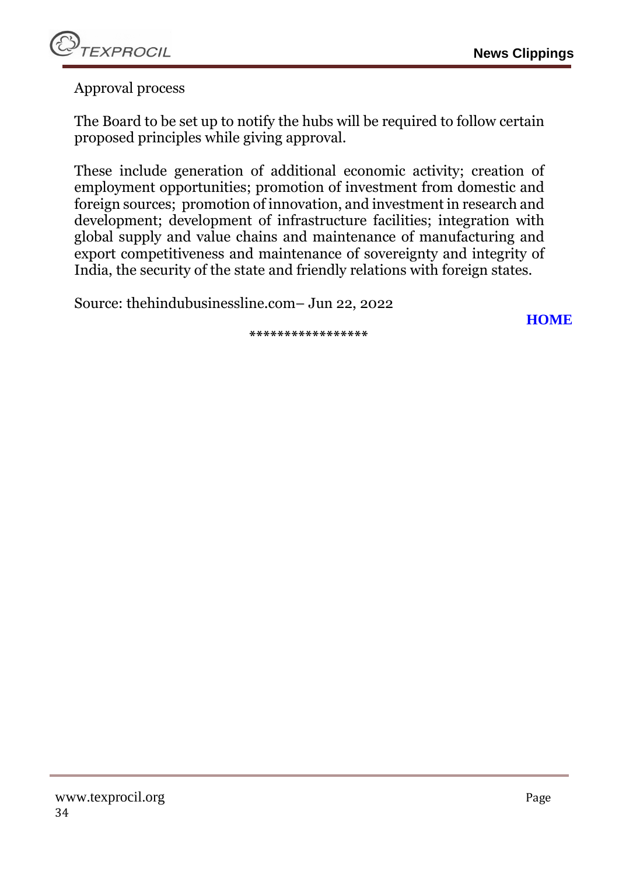

Approval process

The Board to be set up to notify the hubs will be required to follow certain proposed principles while giving approval.

These include generation of additional economic activity; creation of employment opportunities; promotion of investment from domestic and foreign sources; promotion of innovation, and investment in research and development; development of infrastructure facilities; integration with global supply and value chains and maintenance of manufacturing and export competitiveness and maintenance of sovereignty and integrity of India, the security of the state and friendly relations with foreign states.

Source: thehindubusinessline.com– Jun 22, 2022

**[HOME](#page-0-0)**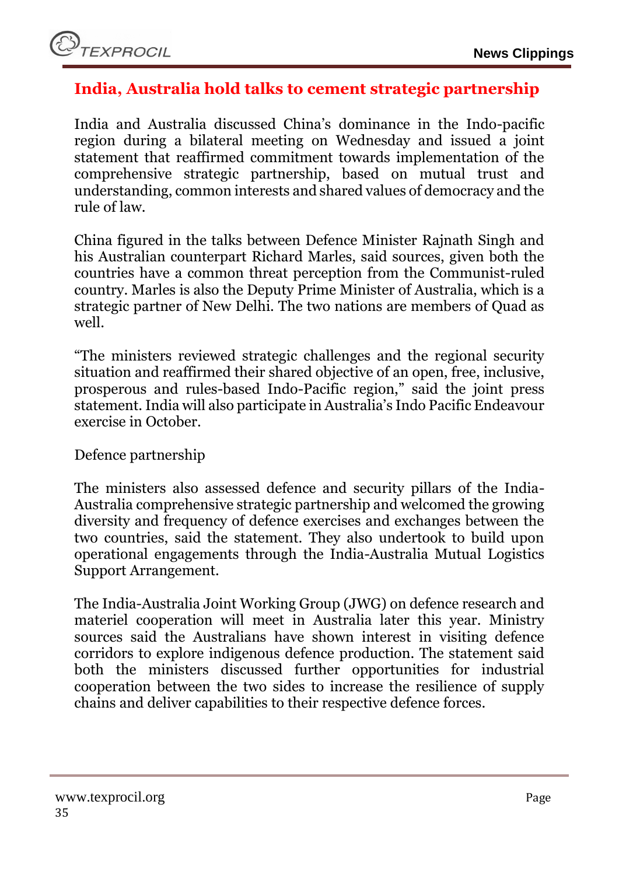

#### <span id="page-34-0"></span>**India, Australia hold talks to cement strategic partnership**

India and Australia discussed China's dominance in the Indo-pacific region during a bilateral meeting on Wednesday and issued a joint statement that reaffirmed commitment towards implementation of the comprehensive strategic partnership, based on mutual trust and understanding, common interests and shared values of democracy and the rule of law.

China figured in the talks between Defence Minister Rajnath Singh and his Australian counterpart Richard Marles, said sources, given both the countries have a common threat perception from the Communist-ruled country. Marles is also the Deputy Prime Minister of Australia, which is a strategic partner of New Delhi. The two nations are members of Quad as well.

"The ministers reviewed strategic challenges and the regional security situation and reaffirmed their shared objective of an open, free, inclusive, prosperous and rules-based Indo-Pacific region," said the joint press statement. India will also participate in Australia's Indo Pacific Endeavour exercise in October.

Defence partnership

The ministers also assessed defence and security pillars of the India-Australia comprehensive strategic partnership and welcomed the growing diversity and frequency of defence exercises and exchanges between the two countries, said the statement. They also undertook to build upon operational engagements through the India-Australia Mutual Logistics Support Arrangement.

The India-Australia Joint Working Group (JWG) on defence research and materiel cooperation will meet in Australia later this year. Ministry sources said the Australians have shown interest in visiting defence corridors to explore indigenous defence production. The statement said both the ministers discussed further opportunities for industrial cooperation between the two sides to increase the resilience of supply chains and deliver capabilities to their respective defence forces.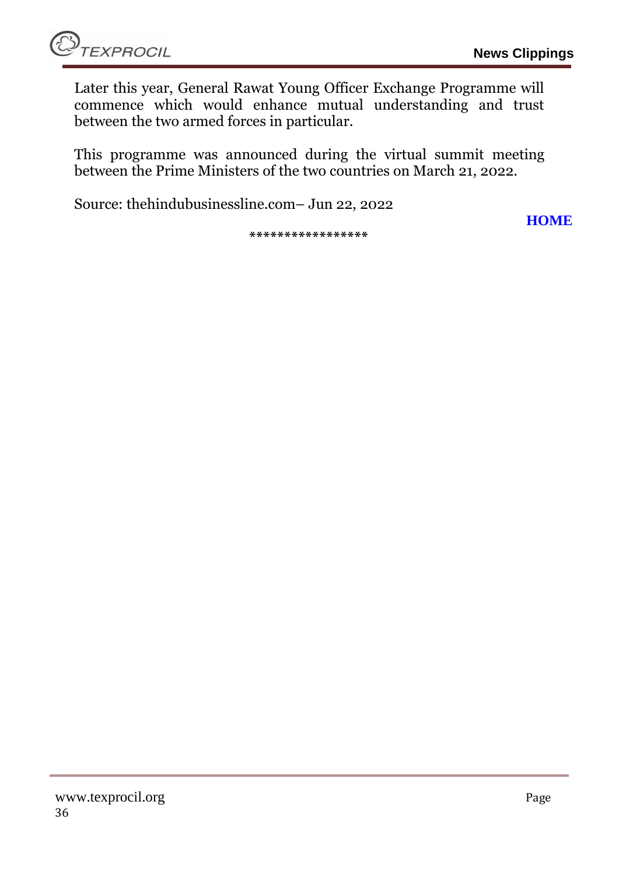**[HOME](#page-0-0)**

Later this year, General Rawat Young Officer Exchange Programme will commence which would enhance mutual understanding and trust between the two armed forces in particular.

This programme was announced during the virtual summit meeting between the Prime Ministers of the two countries on March 21, 2022.

Source: thehindubusinessline.com– Jun 22, 2022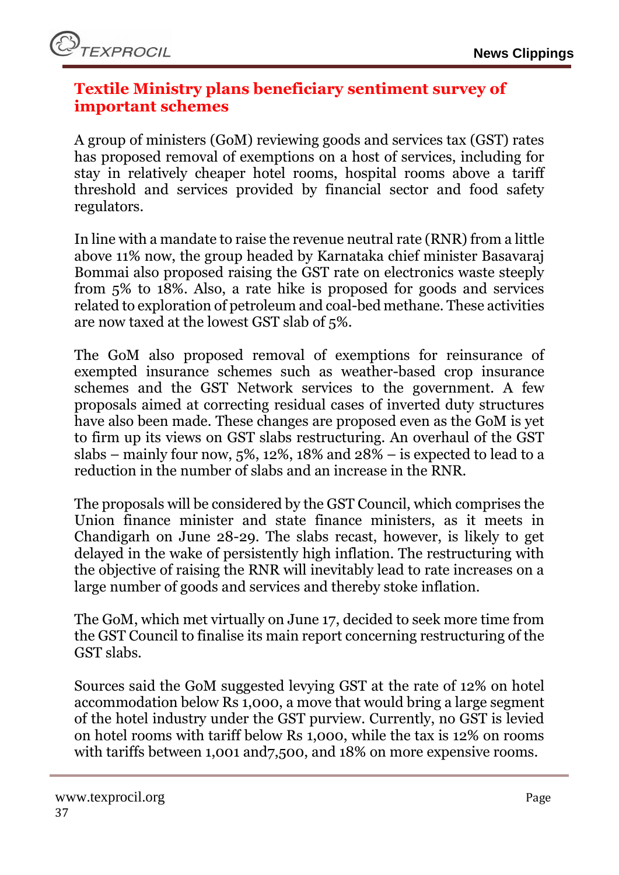#### <span id="page-36-0"></span>**Textile Ministry plans beneficiary sentiment survey of important schemes**

A group of ministers (GoM) reviewing goods and services tax (GST) rates has proposed removal of exemptions on a host of services, including for stay in relatively cheaper hotel rooms, hospital rooms above a tariff threshold and services provided by financial sector and food safety regulators.

In line with a mandate to raise the revenue neutral rate (RNR) from a little above 11% now, the group headed by Karnataka chief minister Basavaraj Bommai also proposed raising the GST rate on electronics waste steeply from 5% to 18%. Also, a rate hike is proposed for goods and services related to exploration of petroleum and coal-bed methane. These activities are now taxed at the lowest GST slab of 5%.

The GoM also proposed removal of exemptions for reinsurance of exempted insurance schemes such as weather-based crop insurance schemes and the GST Network services to the government. A few proposals aimed at correcting residual cases of inverted duty structures have also been made. These changes are proposed even as the GoM is yet to firm up its views on GST slabs restructuring. An overhaul of the GST slabs – mainly four now,  $5\%$ ,  $12\%$ ,  $18\%$  and  $28\%$  – is expected to lead to a reduction in the number of slabs and an increase in the RNR.

The proposals will be considered by the GST Council, which comprises the Union finance minister and state finance ministers, as it meets in Chandigarh on June 28-29. The slabs recast, however, is likely to get delayed in the wake of persistently high inflation. The restructuring with the objective of raising the RNR will inevitably lead to rate increases on a large number of goods and services and thereby stoke inflation.

The GoM, which met virtually on June 17, decided to seek more time from the GST Council to finalise its main report concerning restructuring of the GST slabs.

Sources said the GoM suggested levying GST at the rate of 12% on hotel accommodation below Rs 1,000, a move that would bring a large segment of the hotel industry under the GST purview. Currently, no GST is levied on hotel rooms with tariff below Rs 1,000, while the tax is 12% on rooms with tariffs between 1,001 and 7,500, and 18% on more expensive rooms.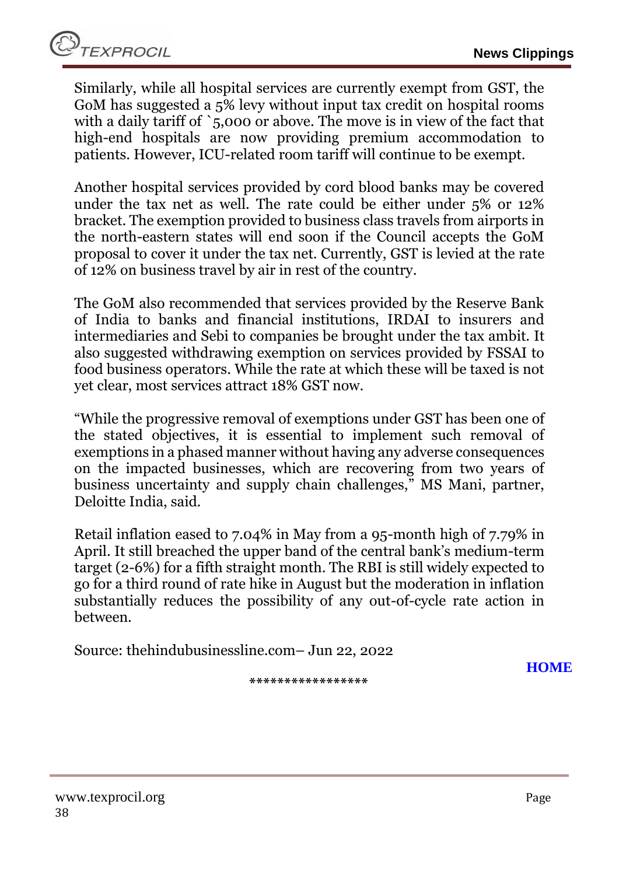TEXPROCIL

Similarly, while all hospital services are currently exempt from GST, the GoM has suggested a 5% levy without input tax credit on hospital rooms with a daily tariff of `5,000 or above. The move is in view of the fact that high-end hospitals are now providing premium accommodation to patients. However, ICU-related room tariff will continue to be exempt.

Another hospital services provided by cord blood banks may be covered under the tax net as well. The rate could be either under 5% or 12% bracket. The exemption provided to business class travels from airports in the north-eastern states will end soon if the Council accepts the GoM proposal to cover it under the tax net. Currently, GST is levied at the rate of 12% on business travel by air in rest of the country.

The GoM also recommended that services provided by the Reserve Bank of India to banks and financial institutions, IRDAI to insurers and intermediaries and Sebi to companies be brought under the tax ambit. It also suggested withdrawing exemption on services provided by FSSAI to food business operators. While the rate at which these will be taxed is not yet clear, most services attract 18% GST now.

"While the progressive removal of exemptions under GST has been one of the stated objectives, it is essential to implement such removal of exemptions in a phased manner without having any adverse consequences on the impacted businesses, which are recovering from two years of business uncertainty and supply chain challenges," MS Mani, partner, Deloitte India, said.

Retail inflation eased to 7.04% in May from a 95-month high of 7.79% in April. It still breached the upper band of the central bank's medium-term target (2-6%) for a fifth straight month. The RBI is still widely expected to go for a third round of rate hike in August but the moderation in inflation substantially reduces the possibility of any out-of-cycle rate action in between.

Source: thehindubusinessline.com– Jun 22, 2022

**[HOME](#page-0-0)**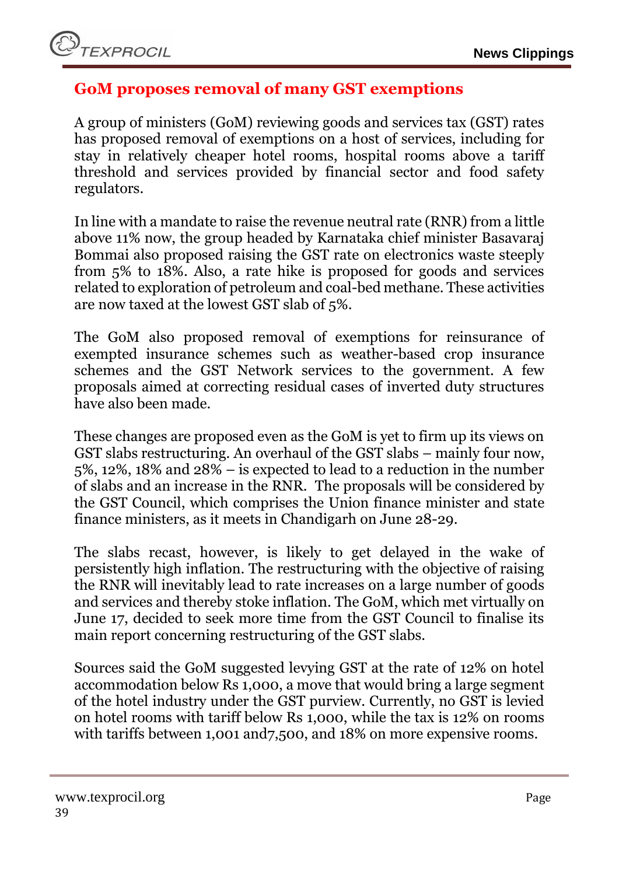#### <span id="page-38-0"></span>**GoM proposes removal of many GST exemptions**

A group of ministers (GoM) reviewing goods and services tax (GST) rates has proposed removal of exemptions on a host of services, including for stay in relatively cheaper hotel rooms, hospital rooms above a tariff threshold and services provided by financial sector and food safety regulators.

In line with a mandate to raise the revenue neutral rate (RNR) from a little above 11% now, the group headed by Karnataka chief minister Basavaraj Bommai also proposed raising the GST rate on electronics waste steeply from 5% to 18%. Also, a rate hike is proposed for goods and services related to exploration of petroleum and coal-bed methane. These activities are now taxed at the lowest GST slab of 5%.

The GoM also proposed removal of exemptions for reinsurance of exempted insurance schemes such as weather-based crop insurance schemes and the GST Network services to the government. A few proposals aimed at correcting residual cases of inverted duty structures have also been made.

These changes are proposed even as the GoM is yet to firm up its views on GST slabs restructuring. An overhaul of the GST slabs – mainly four now, 5%, 12%, 18% and 28% – is expected to lead to a reduction in the number of slabs and an increase in the RNR. The proposals will be considered by the GST Council, which comprises the Union finance minister and state finance ministers, as it meets in Chandigarh on June 28-29.

The slabs recast, however, is likely to get delayed in the wake of persistently high inflation. The restructuring with the objective of raising the RNR will inevitably lead to rate increases on a large number of goods and services and thereby stoke inflation. The GoM, which met virtually on June 17, decided to seek more time from the GST Council to finalise its main report concerning restructuring of the GST slabs.

Sources said the GoM suggested levying GST at the rate of 12% on hotel accommodation below Rs 1,000, a move that would bring a large segment of the hotel industry under the GST purview. Currently, no GST is levied on hotel rooms with tariff below Rs 1,000, while the tax is 12% on rooms with tariffs between 1,001 and 7,500, and 18% on more expensive rooms.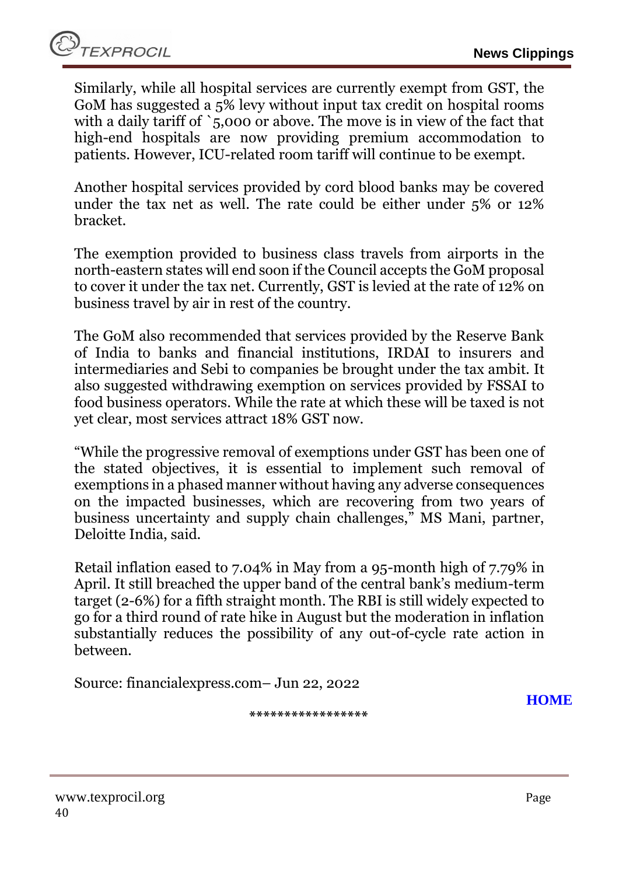Similarly, while all hospital services are currently exempt from GST, the GoM has suggested a 5% levy without input tax credit on hospital rooms with a daily tariff of `5,000 or above. The move is in view of the fact that high-end hospitals are now providing premium accommodation to patients. However, ICU-related room tariff will continue to be exempt.

Another hospital services provided by cord blood banks may be covered under the tax net as well. The rate could be either under 5% or 12% bracket.

The exemption provided to business class travels from airports in the north-eastern states will end soon if the Council accepts the GoM proposal to cover it under the tax net. Currently, GST is levied at the rate of 12% on business travel by air in rest of the country.

The GoM also recommended that services provided by the Reserve Bank of India to banks and financial institutions, IRDAI to insurers and intermediaries and Sebi to companies be brought under the tax ambit. It also suggested withdrawing exemption on services provided by FSSAI to food business operators. While the rate at which these will be taxed is not yet clear, most services attract 18% GST now.

"While the progressive removal of exemptions under GST has been one of the stated objectives, it is essential to implement such removal of exemptions in a phased manner without having any adverse consequences on the impacted businesses, which are recovering from two years of business uncertainty and supply chain challenges," MS Mani, partner, Deloitte India, said.

Retail inflation eased to 7.04% in May from a 95-month high of 7.79% in April. It still breached the upper band of the central bank's medium-term target (2-6%) for a fifth straight month. The RBI is still widely expected to go for a third round of rate hike in August but the moderation in inflation substantially reduces the possibility of any out-of-cycle rate action in between.

Source: financialexpress.com– Jun 22, 2022

**[HOME](#page-0-0)**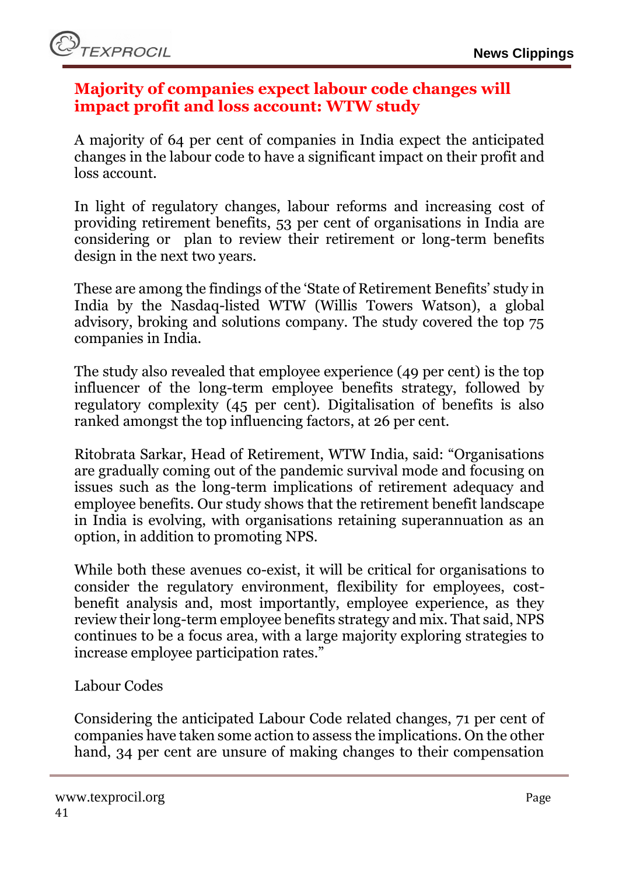

#### <span id="page-40-0"></span>**Majority of companies expect labour code changes will impact profit and loss account: WTW study**

A majority of 64 per cent of companies in India expect the anticipated changes in the labour code to have a significant impact on their profit and loss account.

In light of regulatory changes, labour reforms and increasing cost of providing retirement benefits, 53 per cent of organisations in India are considering or plan to review their retirement or long-term benefits design in the next two years.

These are among the findings of the 'State of Retirement Benefits' study in India by the Nasdaq-listed WTW (Willis Towers Watson), a global advisory, broking and solutions company. The study covered the top 75 companies in India.

The study also revealed that employee experience (49 per cent) is the top influencer of the long-term employee benefits strategy, followed by regulatory complexity (45 per cent). Digitalisation of benefits is also ranked amongst the top influencing factors, at 26 per cent.

Ritobrata Sarkar, Head of Retirement, WTW India, said: "Organisations are gradually coming out of the pandemic survival mode and focusing on issues such as the long-term implications of retirement adequacy and employee benefits. Our study shows that the retirement benefit landscape in India is evolving, with organisations retaining superannuation as an option, in addition to promoting NPS.

While both these avenues co-exist, it will be critical for organisations to consider the regulatory environment, flexibility for employees, costbenefit analysis and, most importantly, employee experience, as they review their long-term employee benefits strategy and mix. That said, NPS continues to be a focus area, with a large majority exploring strategies to increase employee participation rates."

Labour Codes

Considering the anticipated Labour Code related changes, 71 per cent of companies have taken some action to assess the implications. On the other hand, 34 per cent are unsure of making changes to their compensation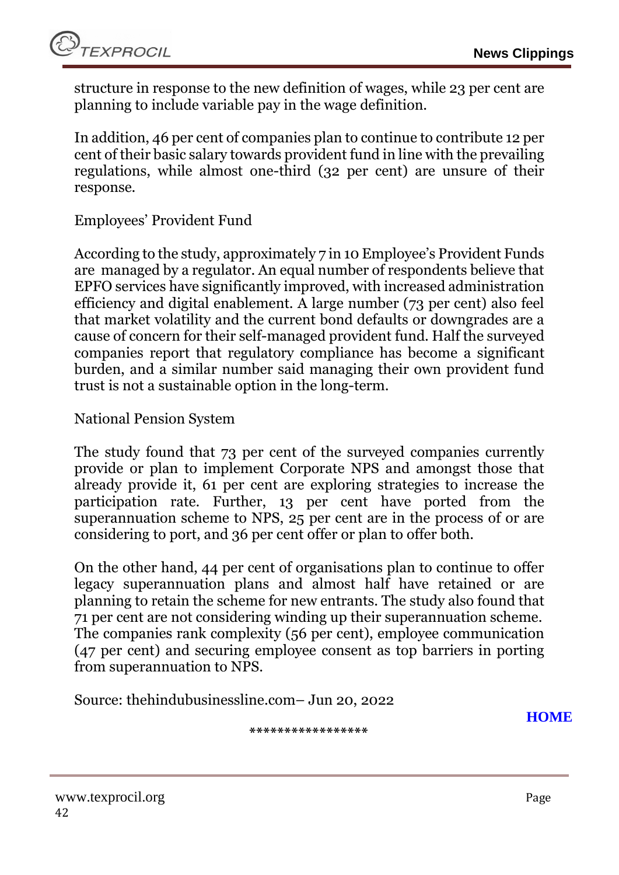structure in response to the new definition of wages, while 23 per cent are planning to include variable pay in the wage definition.

In addition, 46 per cent of companies plan to continue to contribute 12 per cent of their basic salary towards provident fund in line with the prevailing regulations, while almost one-third (32 per cent) are unsure of their response.

#### Employees' Provident Fund

According to the study, approximately 7 in 10 Employee's Provident Funds are managed by a regulator. An equal number of respondents believe that EPFO services have significantly improved, with increased administration efficiency and digital enablement. A large number (73 per cent) also feel that market volatility and the current bond defaults or downgrades are a cause of concern for their self-managed provident fund. Half the surveyed companies report that regulatory compliance has become a significant burden, and a similar number said managing their own provident fund trust is not a sustainable option in the long-term.

National Pension System

The study found that 73 per cent of the surveyed companies currently provide or plan to implement Corporate NPS and amongst those that already provide it, 61 per cent are exploring strategies to increase the participation rate. Further, 13 per cent have ported from the superannuation scheme to NPS, 25 per cent are in the process of or are considering to port, and 36 per cent offer or plan to offer both.

On the other hand, 44 per cent of organisations plan to continue to offer legacy superannuation plans and almost half have retained or are planning to retain the scheme for new entrants. The study also found that 71 per cent are not considering winding up their superannuation scheme. The companies rank complexity (56 per cent), employee communication (47 per cent) and securing employee consent as top barriers in porting from superannuation to NPS.

Source: thehindubusinessline.com– Jun 20, 2022

**[HOME](#page-0-0)**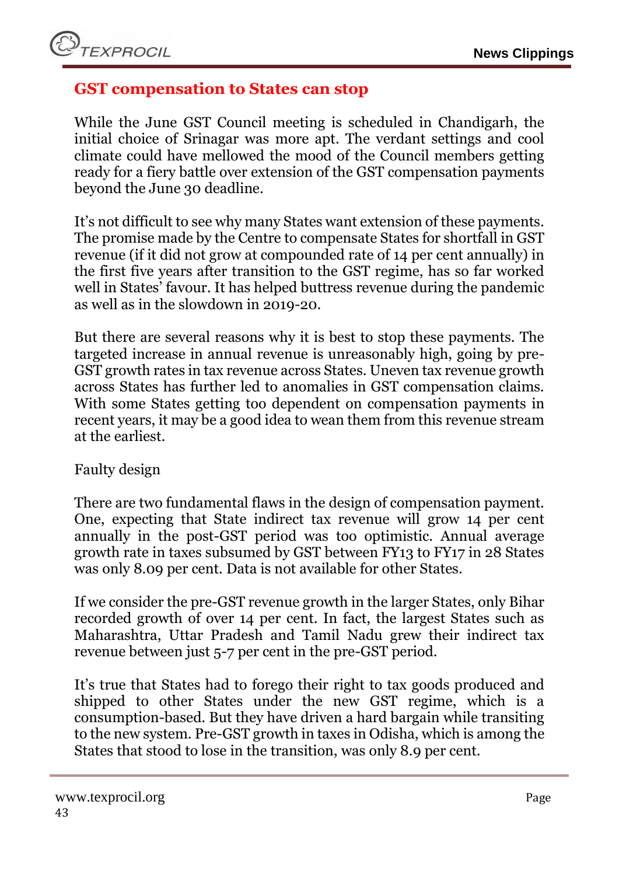#### <span id="page-42-0"></span>**GST compensation to States can stop**

While the June GST Council meeting is scheduled in Chandigarh, the initial choice of Srinagar was more apt. The verdant settings and cool climate could have mellowed the mood of the Council members getting ready for a fiery battle over extension of the GST compensation payments beyond the June 30 deadline.

It's not difficult to see why many States want extension of these payments. The promise made by the Centre to compensate States for shortfall in GST revenue (if it did not grow at compounded rate of 14 per cent annually) in the first five years after transition to the GST regime, has so far worked well in States' favour. It has helped buttress revenue during the pandemic as well as in the slowdown in 2019-20.

But there are several reasons why it is best to stop these payments. The targeted increase in annual revenue is unreasonably high, going by pre-GST growth rates in tax revenue across States. Uneven tax revenue growth across States has further led to anomalies in GST compensation claims. With some States getting too dependent on compensation payments in recent years, it may be a good idea to wean them from this revenue stream at the earliest.

#### Faulty design

There are two fundamental flaws in the design of compensation payment. One, expecting that State indirect tax revenue will grow 14 per cent annually in the post-GST period was too optimistic. Annual average growth rate in taxes subsumed by GST between FY13 to FY17 in 28 States was only 8.09 per cent. Data is not available for other States.

If we consider the pre-GST revenue growth in the larger States, only Bihar recorded growth of over 14 per cent. In fact, the largest States such as Maharashtra, Uttar Pradesh and Tamil Nadu grew their indirect tax revenue between just 5-7 per cent in the pre-GST period.

It's true that States had to forego their right to tax goods produced and shipped to other States under the new GST regime, which is a consumption-based. But they have driven a hard bargain while transiting to the new system. Pre-GST growth in taxes in Odisha, which is among the States that stood to lose in the transition, was only 8.9 per cent.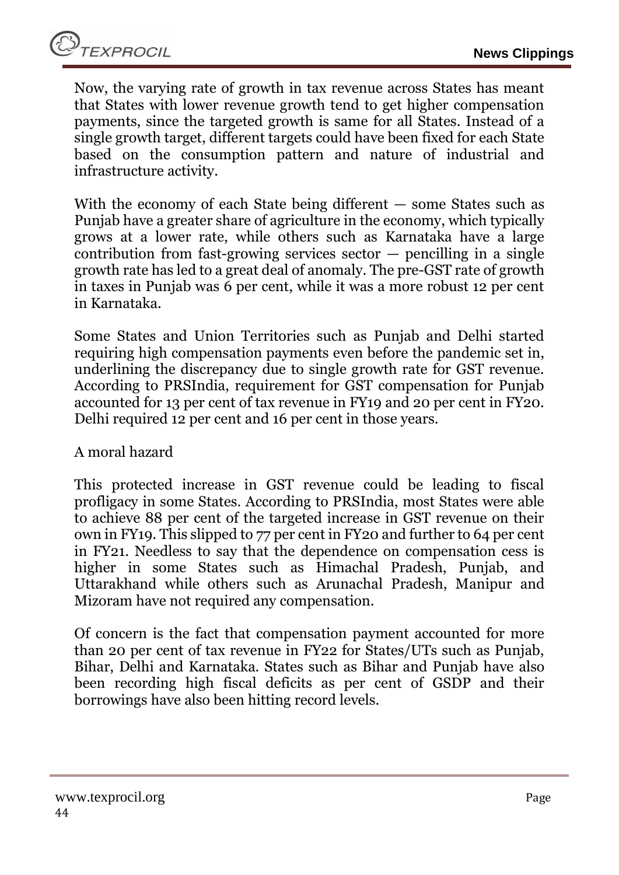Now, the varying rate of growth in tax revenue across States has meant that States with lower revenue growth tend to get higher compensation payments, since the targeted growth is same for all States. Instead of a single growth target, different targets could have been fixed for each State based on the consumption pattern and nature of industrial and infrastructure activity.

With the economy of each State being different — some States such as Punjab have a greater share of agriculture in the economy, which typically grows at a lower rate, while others such as Karnataka have a large contribution from fast-growing services sector  $-$  pencilling in a single growth rate has led to a great deal of anomaly. The pre-GST rate of growth in taxes in Punjab was 6 per cent, while it was a more robust 12 per cent in Karnataka.

Some States and Union Territories such as Punjab and Delhi started requiring high compensation payments even before the pandemic set in, underlining the discrepancy due to single growth rate for GST revenue. According to PRSIndia, requirement for GST compensation for Punjab accounted for 13 per cent of tax revenue in FY19 and 20 per cent in FY20. Delhi required 12 per cent and 16 per cent in those years.

#### A moral hazard

This protected increase in GST revenue could be leading to fiscal profligacy in some States. According to PRSIndia, most States were able to achieve 88 per cent of the targeted increase in GST revenue on their own in FY19. This slipped to 77 per cent in FY20 and further to 64 per cent in FY21. Needless to say that the dependence on compensation cess is higher in some States such as Himachal Pradesh, Punjab, and Uttarakhand while others such as Arunachal Pradesh, Manipur and Mizoram have not required any compensation.

Of concern is the fact that compensation payment accounted for more than 20 per cent of tax revenue in FY22 for States/UTs such as Punjab, Bihar, Delhi and Karnataka. States such as Bihar and Punjab have also been recording high fiscal deficits as per cent of GSDP and their borrowings have also been hitting record levels.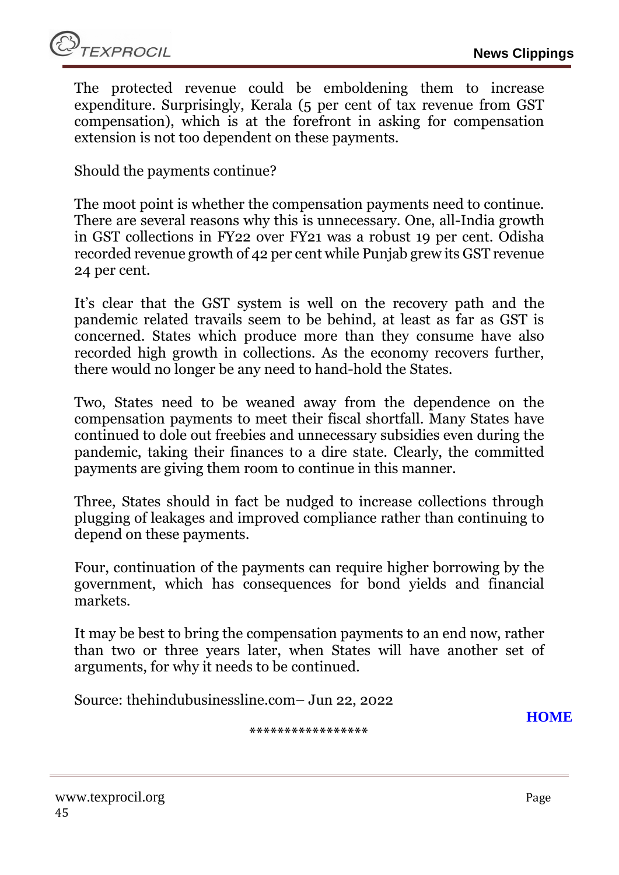The protected revenue could be emboldening them to increase expenditure. Surprisingly, Kerala (5 per cent of tax revenue from GST compensation), which is at the forefront in asking for compensation extension is not too dependent on these payments.

Should the payments continue?

The moot point is whether the compensation payments need to continue. There are several reasons why this is unnecessary. One, all-India growth in GST collections in FY22 over FY21 was a robust 19 per cent. Odisha recorded revenue growth of 42 per cent while Punjab grew its GST revenue 24 per cent.

It's clear that the GST system is well on the recovery path and the pandemic related travails seem to be behind, at least as far as GST is concerned. States which produce more than they consume have also recorded high growth in collections. As the economy recovers further, there would no longer be any need to hand-hold the States.

Two, States need to be weaned away from the dependence on the compensation payments to meet their fiscal shortfall. Many States have continued to dole out freebies and unnecessary subsidies even during the pandemic, taking their finances to a dire state. Clearly, the committed payments are giving them room to continue in this manner.

Three, States should in fact be nudged to increase collections through plugging of leakages and improved compliance rather than continuing to depend on these payments.

Four, continuation of the payments can require higher borrowing by the government, which has consequences for bond yields and financial markets.

It may be best to bring the compensation payments to an end now, rather than two or three years later, when States will have another set of arguments, for why it needs to be continued.

Source: thehindubusinessline.com– Jun 22, 2022

**[HOME](#page-0-0)**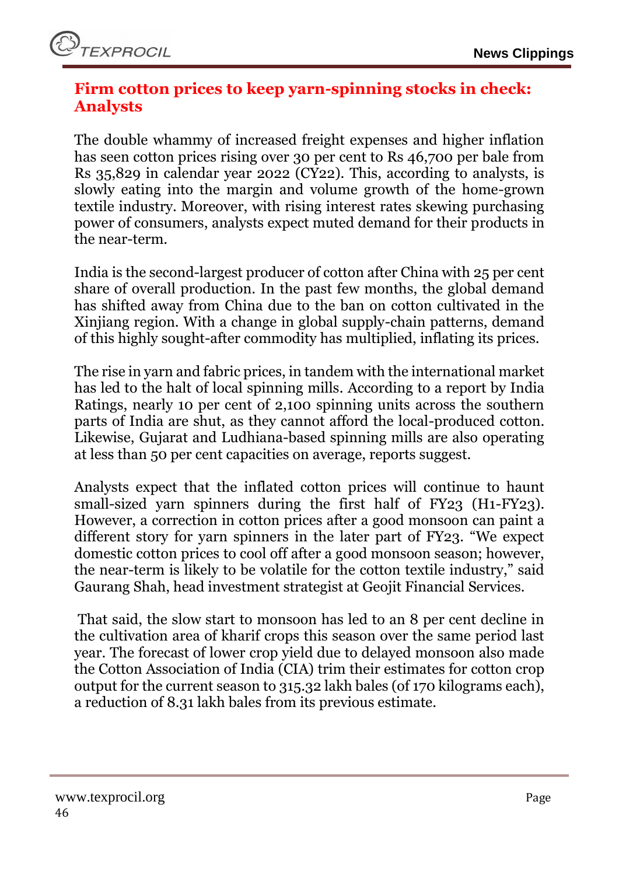#### <span id="page-45-0"></span>**Firm cotton prices to keep yarn-spinning stocks in check: Analysts**

The double whammy of increased freight expenses and higher inflation has seen cotton prices rising over 30 per cent to Rs 46,700 per bale from Rs 35,829 in calendar year 2022 (CY22). This, according to analysts, is slowly eating into the margin and volume growth of the home-grown textile industry. Moreover, with rising interest rates skewing purchasing power of consumers, analysts expect muted demand for their products in the near-term.

India is the second-largest producer of cotton after China with 25 per cent share of overall production. In the past few months, the global demand has shifted away from China due to the ban on cotton cultivated in the Xinjiang region. With a change in global supply-chain patterns, demand of this highly sought-after commodity has multiplied, inflating its prices.

The rise in yarn and fabric prices, in tandem with the international market has led to the halt of local spinning mills. According to a report by India Ratings, nearly 10 per cent of 2,100 spinning units across the southern parts of India are shut, as they cannot afford the local-produced cotton. Likewise, Gujarat and Ludhiana-based spinning mills are also operating at less than 50 per cent capacities on average, reports suggest.

Analysts expect that the inflated cotton prices will continue to haunt small-sized yarn spinners during the first half of FY23 (H1-FY23). However, a correction in cotton prices after a good monsoon can paint a different story for yarn spinners in the later part of FY23. "We expect domestic cotton prices to cool off after a good monsoon season; however, the near-term is likely to be volatile for the cotton textile industry," said Gaurang Shah, head investment strategist at Geojit Financial Services.

That said, the slow start to monsoon has led to an 8 per cent decline in the cultivation area of kharif crops this season over the same period last year. The forecast of lower crop yield due to delayed monsoon also made the Cotton Association of India (CIA) trim their estimates for cotton crop output for the current season to 315.32 lakh bales (of 170 kilograms each), a reduction of 8.31 lakh bales from its previous estimate.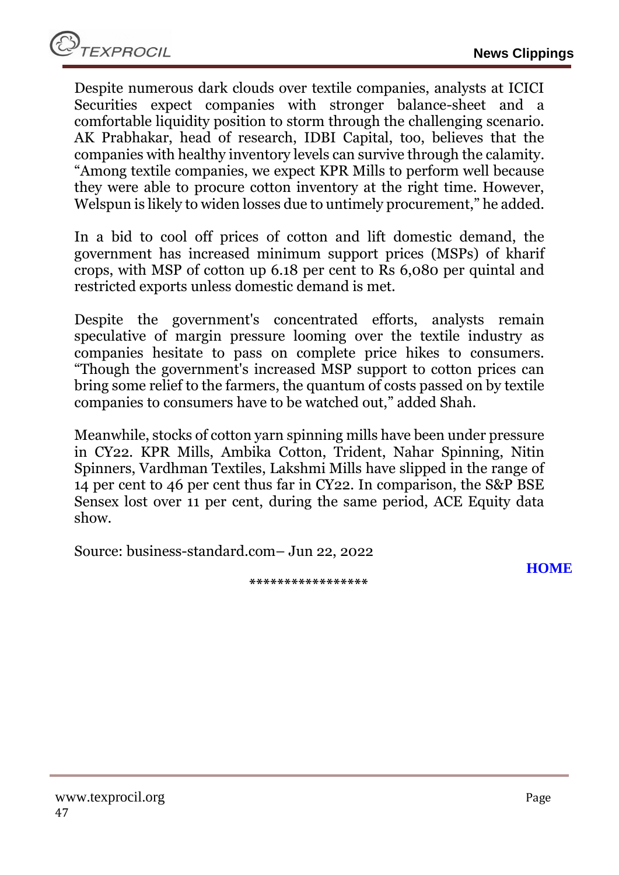Despite numerous dark clouds over textile companies, analysts at ICICI Securities expect companies with stronger balance-sheet and a comfortable liquidity position to storm through the challenging scenario. AK Prabhakar, head of research, IDBI Capital, too, believes that the companies with healthy inventory levels can survive through the calamity. "Among textile companies, we expect KPR Mills to perform well because they were able to procure cotton inventory at the right time. However, Welspun is likely to widen losses due to untimely procurement," he added.

In a bid to cool off prices of cotton and lift domestic demand, the government has increased minimum support prices (MSPs) of kharif crops, with MSP of cotton up 6.18 per cent to Rs 6,080 per quintal and restricted exports unless domestic demand is met.

Despite the government's concentrated efforts, analysts remain speculative of margin pressure looming over the textile industry as companies hesitate to pass on complete price hikes to consumers. "Though the government's increased MSP support to cotton prices can bring some relief to the farmers, the quantum of costs passed on by textile companies to consumers have to be watched out," added Shah.

Meanwhile, stocks of cotton yarn spinning mills have been under pressure in CY22. KPR Mills, Ambika Cotton, Trident, Nahar Spinning, Nitin Spinners, Vardhman Textiles, Lakshmi Mills have slipped in the range of 14 per cent to 46 per cent thus far in CY22. In comparison, the S&P BSE Sensex lost over 11 per cent, during the same period, ACE Equity data show.

**\*\*\*\*\*\*\*\*\*\*\*\*\*\*\*\*\***

Source: business-standard.com– Jun 22, 2022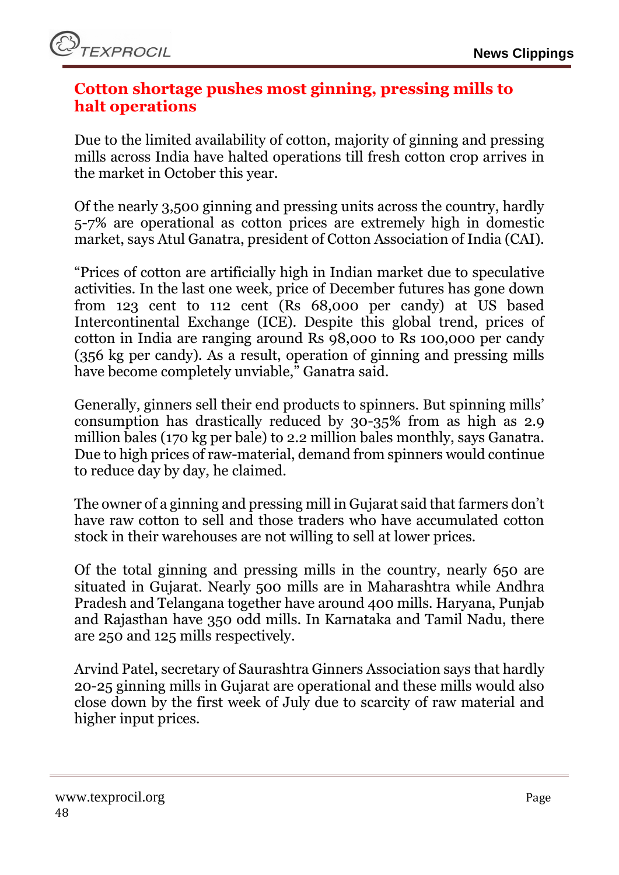

#### <span id="page-47-0"></span>**Cotton shortage pushes most ginning, pressing mills to halt operations**

Due to the limited availability of cotton, majority of ginning and pressing mills across India have halted operations till fresh cotton crop arrives in the market in October this year.

Of the nearly 3,500 ginning and pressing units across the country, hardly 5-7% are operational as cotton prices are extremely high in domestic market, says Atul Ganatra, president of Cotton Association of India (CAI).

"Prices of cotton are artificially high in Indian market due to speculative activities. In the last one week, price of December futures has gone down from 123 cent to 112 cent (Rs 68,000 per candy) at US based Intercontinental Exchange (ICE). Despite this global trend, prices of cotton in India are ranging around Rs 98,000 to Rs 100,000 per candy (356 kg per candy). As a result, operation of ginning and pressing mills have become completely unviable," Ganatra said.

Generally, ginners sell their end products to spinners. But spinning mills' consumption has drastically reduced by 30-35% from as high as 2.9 million bales (170 kg per bale) to 2.2 million bales monthly, says Ganatra. Due to high prices of raw-material, demand from spinners would continue to reduce day by day, he claimed.

The owner of a ginning and pressing mill in Gujarat said that farmers don't have raw cotton to sell and those traders who have accumulated cotton stock in their warehouses are not willing to sell at lower prices.

Of the total ginning and pressing mills in the country, nearly 650 are situated in Gujarat. Nearly 500 mills are in Maharashtra while Andhra Pradesh and Telangana together have around 400 mills. Haryana, Punjab and Rajasthan have 350 odd mills. In Karnataka and Tamil Nadu, there are 250 and 125 mills respectively.

Arvind Patel, secretary of Saurashtra Ginners Association says that hardly 20-25 ginning mills in Gujarat are operational and these mills would also close down by the first week of July due to scarcity of raw material and higher input prices.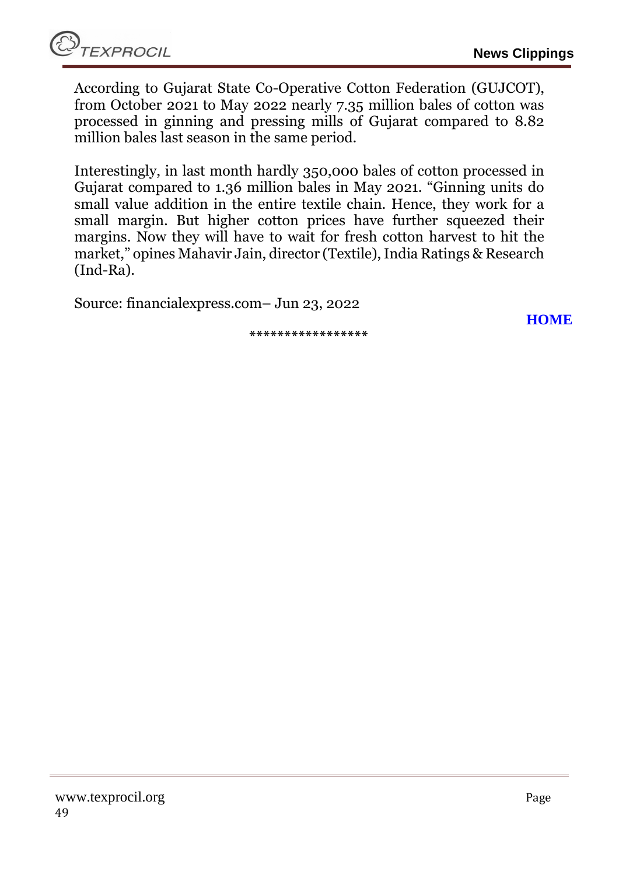**[HOME](#page-0-0)**

According to Gujarat State Co-Operative Cotton Federation (GUJCOT), from October 2021 to May 2022 nearly 7.35 million bales of cotton was processed in ginning and pressing mills of Gujarat compared to 8.82 million bales last season in the same period.

Interestingly, in last month hardly 350,000 bales of cotton processed in Gujarat compared to 1.36 million bales in May 2021. "Ginning units do small value addition in the entire textile chain. Hence, they work for a small margin. But higher cotton prices have further squeezed their margins. Now they will have to wait for fresh cotton harvest to hit the market," opines Mahavir Jain, director (Textile), India Ratings & Research (Ind-Ra).

Source: financialexpress.com– Jun 23, 2022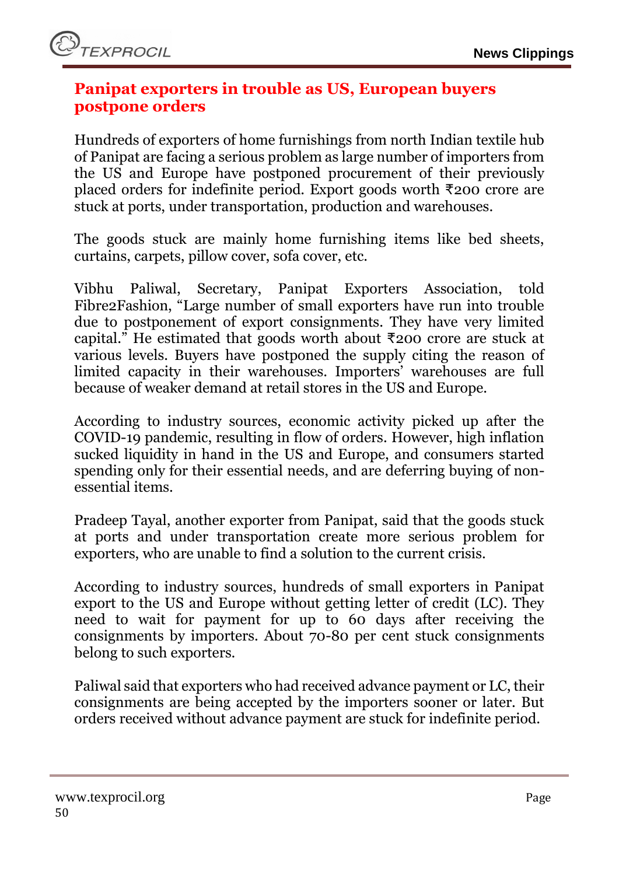#### <span id="page-49-0"></span>**Panipat exporters in trouble as US, European buyers postpone orders**

Hundreds of exporters of home furnishings from north Indian textile hub of Panipat are facing a serious problem as large number of importers from the US and Europe have postponed procurement of their previously placed orders for indefinite period. Export goods worth ₹200 crore are stuck at ports, under transportation, production and warehouses.

The goods stuck are mainly home furnishing items like bed sheets, curtains, carpets, pillow cover, sofa cover, etc.

Vibhu Paliwal, Secretary, Panipat Exporters Association, told Fibre2Fashion, "Large number of small exporters have run into trouble due to postponement of export consignments. They have very limited capital." He estimated that goods worth about ₹200 crore are stuck at various levels. Buyers have postponed the supply citing the reason of limited capacity in their warehouses. Importers' warehouses are full because of weaker demand at retail stores in the US and Europe.

According to industry sources, economic activity picked up after the COVID-19 pandemic, resulting in flow of orders. However, high inflation sucked liquidity in hand in the US and Europe, and consumers started spending only for their essential needs, and are deferring buying of nonessential items.

Pradeep Tayal, another exporter from Panipat, said that the goods stuck at ports and under transportation create more serious problem for exporters, who are unable to find a solution to the current crisis.

According to industry sources, hundreds of small exporters in Panipat export to the US and Europe without getting letter of credit (LC). They need to wait for payment for up to 60 days after receiving the consignments by importers. About 70-80 per cent stuck consignments belong to such exporters.

Paliwal said that exporters who had received advance payment or LC, their consignments are being accepted by the importers sooner or later. But orders received without advance payment are stuck for indefinite period.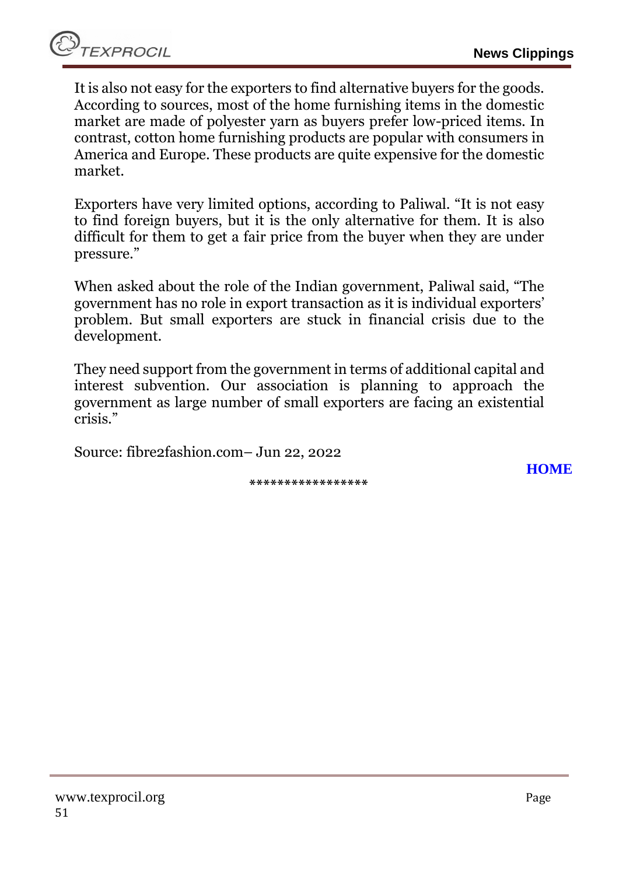It is also not easy for the exporters to find alternative buyers for the goods. According to sources, most of the home furnishing items in the domestic market are made of polyester yarn as buyers prefer low-priced items. In contrast, cotton home furnishing products are popular with consumers in America and Europe. These products are quite expensive for the domestic market.

Exporters have very limited options, according to Paliwal. "It is not easy to find foreign buyers, but it is the only alternative for them. It is also difficult for them to get a fair price from the buyer when they are under pressure."

When asked about the role of the Indian government, Paliwal said, "The government has no role in export transaction as it is individual exporters' problem. But small exporters are stuck in financial crisis due to the development.

They need support from the government in terms of additional capital and interest subvention. Our association is planning to approach the government as large number of small exporters are facing an existential crisis."

Source: fibre2fashion.com– Jun 22, 2022

**\*\*\*\*\*\*\*\*\*\*\*\*\*\*\*\*\***